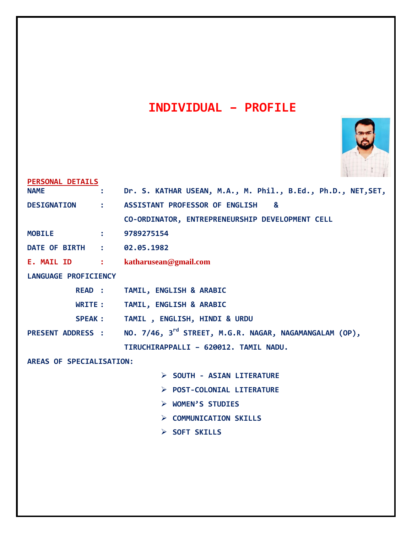# **INDIVIDUAL – PROFILE**



| PERSONAL DETAILS            |                |                                                                    |
|-----------------------------|----------------|--------------------------------------------------------------------|
| <b>NAME</b>                 |                | Dr. S. KATHAR USEAN, M.A., M. Phil., B.Ed., Ph.D., NET, SET,       |
| <b>DESIGNATION</b>          | $\ddot{\cdot}$ | ASSISTANT PROFESSOR OF ENGLISH<br>&                                |
|                             |                | CO-ORDINATOR, ENTREPRENEURSHIP DEVELOPMENT CELL                    |
| <b>MOBILE</b>               |                | 9789275154                                                         |
| DATE OF BIRTH :             |                | 02.05.1982                                                         |
|                             |                | E. MAIL ID : katharusean@gmail.com                                 |
| <b>LANGUAGE PROFICIENCY</b> |                |                                                                    |
| READ :                      |                | TAMIL, ENGLISH & ARABIC                                            |
| WRITE :                     |                | TAMIL, ENGLISH & ARABIC                                            |
| <b>SPEAK :</b>              |                | TAMIL, ENGLISH, HINDI & URDU                                       |
| <b>PRESENT ADDRESS :</b>    |                | NO. 7/46, 3 <sup>rd</sup> STREET, M.G.R. NAGAR, NAGAMANGALAM (OP), |
|                             |                | TIRUCHIRAPPALLI - 620012. TAMIL NADU.                              |
| AREAS OF SPECIALISATION:    |                |                                                                    |
|                             |                | > SOUTH - ASIAN LITERATURE                                         |
|                             |                | > POST-COLONIAL LITERATURE                                         |
|                             |                | > WOMEN'S STUDIES                                                  |
|                             |                | > COMMUNICATION SKILLS                                             |
|                             |                | $\triangleright$ SOFT SKILLS                                       |
|                             |                |                                                                    |
|                             |                |                                                                    |
|                             |                |                                                                    |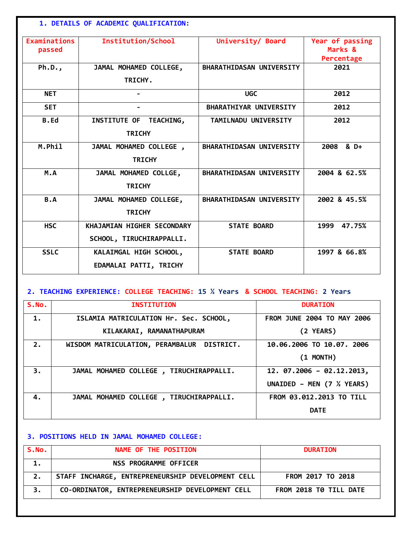## **1. DETAILS OF ACADEMIC QUALIFICATION:**

| <b>Examinations</b><br>passed               | <b>Institution/School</b>                              | University/ Board               | Year of passing<br>Marks &<br>Percentage |
|---------------------------------------------|--------------------------------------------------------|---------------------------------|------------------------------------------|
| Ph.D.,<br>JAMAL MOHAMED COLLEGE,<br>TRICHY. |                                                        | BHARATHIDASAN UNIVERSITY        | 2021                                     |
| <b>NET</b>                                  |                                                        | <b>UGC</b>                      | 2012                                     |
| <b>SET</b>                                  |                                                        | <b>BHARATHIYAR UNIVERSITY</b>   | 2012                                     |
| <b>B.Ed</b>                                 | INSTITUTE OF TEACHING,<br><b>TRICHY</b>                | TAMILNADU UNIVERSITY            | 2012                                     |
| M.Phil                                      | JAMAL MOHAMED COLLEGE,<br><b>TRICHY</b>                | <b>BHARATHIDASAN UNIVERSITY</b> | 2008 & D+                                |
| M.A                                         | JAMAL MOHAMED COLLGE,<br><b>TRICHY</b>                 | <b>BHARATHIDASAN UNIVERSITY</b> | 2004 & 62.5%                             |
| B.A                                         | JAMAL MOHAMED COLLEGE,<br><b>TRICHY</b>                | BHARATHIDASAN UNIVERSITY        | 2002 & 45.5%                             |
| <b>HSC</b>                                  | KHAJAMIAN HIGHER SECONDARY<br>SCHOOL, TIRUCHIRAPPALLI. | <b>STATE BOARD</b>              | 47.75%<br>1999                           |
| <b>SSLC</b>                                 | KALAIMGAL HIGH SCHOOL,<br>EDAMALAI PATTI, TRICHY       | <b>STATE BOARD</b>              | 1997 & 66.8%                             |

# **2. TEACHING EXPERIENCE: COLLEGE TEACHING: 15 ½ Years & SCHOOL TEACHING: 2 Years**

| S.MO. | <b>INSTITUTION</b>                         | <b>DURATION</b>                   |
|-------|--------------------------------------------|-----------------------------------|
| 1.    | ISLAMIA MATRICULATION Hr. Sec. SCHOOL,     | <b>FROM JUNE 2004 TO MAY 2006</b> |
|       | KILAKARAI, RAMANATHAPURAM                  | (2 YEARS)                         |
| 2.    | WISDOM MATRICULATION, PERAMBALUR DISTRICT. | 10.06.2006 TO 10.07. 2006         |
|       |                                            | $(1$ MONTH)                       |
| 3.    | JAMAL MOHAMED COLLEGE, TIRUCHIRAPPALLI.    | $12.07.2006 - 02.12.2013,$        |
|       |                                            | UNAIDED - MEN (7 % YEARS)         |
| 4.    | JAMAL MOHAMED COLLEGE, TIRUCHIRAPPALLI.    | FROM 03.012.2013 TO TILL          |
|       |                                            | <b>DATE</b>                       |

## **3. POSITIONS HELD IN JAMAL MOHAMED COLLEGE:**

| S.No. | NAME OF THE POSITION                              | <b>DURATION</b>        |
|-------|---------------------------------------------------|------------------------|
|       | NSS PROGRAMME OFFICER                             |                        |
|       | STAFF INCHARGE, ENTREPRENEURSHIP DEVELOPMENT CELL | FROM 2017 TO 2018      |
|       | CO-ORDINATOR, ENTREPRENEURSHIP DEVELOPMENT CELL   | FROM 2018 TO TILL DATE |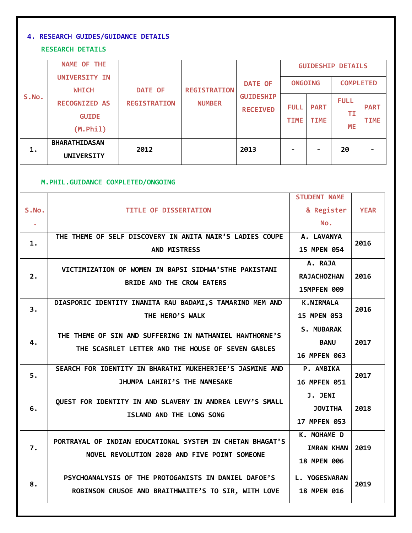# **4. RESEARCH GUIDES/GUIDANCE DETAILS**

#### **RESEARCH DETAILS**

|       | <b>NAME OF THE</b><br>UNIVERSITY IN                               |                                       |                                      | <b>DATE OF</b>                      | <b>ONGOING</b>             |                            | <b>GUIDESHIP DETAILS</b><br><b>COMPLETED</b> |                            |
|-------|-------------------------------------------------------------------|---------------------------------------|--------------------------------------|-------------------------------------|----------------------------|----------------------------|----------------------------------------------|----------------------------|
| S.No. | <b>WHICH</b><br><b>RECOGNIZED AS</b><br><b>GUIDE</b><br>(M. Phil) | <b>DATE OF</b><br><b>REGISTRATION</b> | <b>REGISTRATION</b><br><b>NUMBER</b> | <b>GUIDESHIP</b><br><b>RECEIVED</b> | <b>FULL</b><br><b>TIME</b> | <b>PART</b><br><b>TIME</b> | <b>FULL</b><br>ΤI<br>ΜE                      | <b>PART</b><br><b>TIME</b> |
| 1.    | <b>BHARATHIDASAN</b><br><b>UNIVERSITY</b>                         | 2012                                  |                                      | 2013                                | ۰                          |                            | 20                                           |                            |

#### **M.PHIL.GUIDANCE COMPLETED/ONGOING**

|           |                                                           | <b>STUDENT NAME</b> |             |  |
|-----------|-----------------------------------------------------------|---------------------|-------------|--|
| S.No.     | <b>TITLE OF DISSERTATION</b>                              | & Register          | <b>YEAR</b> |  |
| $\bullet$ |                                                           | No.                 |             |  |
| 1.        | THE THEME OF SELF DISCOVERY IN ANITA NAIR'S LADIES COUPE  | A. LAVANYA          | 2016        |  |
|           | AND MISTRESS                                              | 15 MPEN 054         |             |  |
|           | VICTIMIZATION OF WOMEN IN BAPSI SIDHWA'STHE PAKISTANI     | A. RAJA             |             |  |
| 2.        | BRIDE AND THE CROW EATERS                                 | <b>RAJACHOZHAN</b>  | 2016        |  |
|           |                                                           | 15MPFEN 009         |             |  |
| 3.        | DIASPORIC IDENTITY INANITA RAU BADAMI, S TAMARIND MEM AND | <b>K.NIRMALA</b>    | 2016        |  |
|           | THE HERO'S WALK                                           | 15 MPEN 053         |             |  |
|           | THE THEME OF SIN AND SUFFERING IN NATHANIEL HAWTHORNE'S   | <b>S. MUBARAK</b>   |             |  |
| 4.        | THE SCASRLET LETTER AND THE HOUSE OF SEVEN GABLES         | <b>BANU</b>         | 2017        |  |
|           |                                                           | 16 MPFEN 063        |             |  |
| 5.        | SEARCH FOR IDENTITY IN BHARATHI MUKEHERJEE'S JASMINE AND  | <b>P. AMBIKA</b>    | 2017        |  |
|           | JHUMPA LAHIRI'S THE NAMESAKE                              | 16 MPFEN 051        |             |  |
|           | QUEST FOR IDENTITY IN AND SLAVERY IN ANDREA LEVY'S SMALL  | <b>J. JENI</b>      |             |  |
| 6.        | ISLAND AND THE LONG SONG                                  | <b>JOVITHA</b>      | 2018        |  |
|           |                                                           | 17 MPFEN 053        |             |  |
|           | PORTRAYAL OF INDIAN EDUCATIONAL SYSTEM IN CHETAN BHAGAT'S | K. MOHAME D         |             |  |
| 7.        | NOVEL REVOLUTION 2020 AND FIVE POINT SOMEONE              | <b>IMRAN KHAN</b>   | 2019        |  |
|           |                                                           | 18 MPEN 006         |             |  |
|           | PSYCHOANALYSIS OF THE PROTOGANISTS IN DANIEL DAFOE'S      | L. YOGESWARAN       |             |  |
| 8.        | ROBINSON CRUSOE AND BRAITHWAITE'S TO SIR, WITH LOVE       | <b>18 MPEN 016</b>  | 2019        |  |
|           |                                                           |                     |             |  |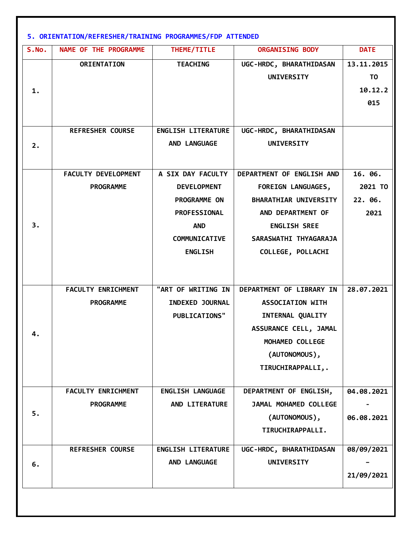| S.NO. | NAME OF THE PROGRAMME      | THEME/TITLE                                    | <b>ORGANISING BODY</b>                              | <b>DATE</b>    |
|-------|----------------------------|------------------------------------------------|-----------------------------------------------------|----------------|
|       | ORIENTATION                | <b>TEACHING</b>                                | UGC-HRDC, BHARATHIDASAN                             | 13.11.2015     |
|       |                            |                                                | <b>UNIVERSITY</b>                                   | T <sub>0</sub> |
| 1.    |                            |                                                |                                                     | 10.12.2        |
|       |                            |                                                |                                                     | 015            |
|       |                            |                                                |                                                     |                |
|       | <b>REFRESHER COURSE</b>    | <b>ENGLISH LITERATURE</b>                      | UGC-HRDC, BHARATHIDASAN                             |                |
| 2.    |                            | AND LANGUAGE                                   | <b>UNIVERSITY</b>                                   |                |
|       |                            |                                                |                                                     |                |
|       | <b>FACULTY DEVELOPMENT</b> | A SIX DAY FACULTY                              | DEPARTMENT OF ENGLISH AND                           | 16. 06.        |
|       | <b>PROGRAMME</b>           | <b>DEVELOPMENT</b>                             | <b>FOREIGN LANGUAGES,</b>                           | 2021 TO        |
|       |                            | PROGRAMME ON                                   | <b>BHARATHIAR UNIVERSITY</b>                        | 22. 06.        |
|       |                            | <b>PROFESSIONAL</b>                            | AND DEPARTMENT OF                                   | 2021           |
| 3.    |                            | <b>AND</b>                                     | <b>ENGLISH SREE</b>                                 |                |
|       |                            | <b>COMMUNICATIVE</b>                           | SARASWATHI THYAGARAJA                               |                |
|       |                            | <b>ENGLISH</b>                                 | COLLEGE, POLLACHI                                   |                |
|       |                            |                                                |                                                     |                |
|       |                            |                                                |                                                     |                |
|       | <b>FACULTY ENRICHMENT</b>  | "ART OF WRITING IN                             | DEPARTMENT OF LIBRARY IN<br><b>ASSOCIATION WITH</b> | 28.07.2021     |
|       | <b>PROGRAMME</b>           | <b>INDEXED JOURNAL</b><br><b>PUBLICATIONS"</b> | INTERNAL QUALITY                                    |                |
|       |                            |                                                | ASSURANCE CELL, JAMAL                               |                |
| 4.    |                            |                                                | MOHAMED COLLEGE                                     |                |
|       |                            |                                                | (AUTONOMOUS),                                       |                |
|       |                            |                                                | TIRUCHIRAPPALLI,.                                   |                |
|       |                            |                                                |                                                     |                |
|       | <b>FACULTY ENRICHMENT</b>  | ENGLISH LANGUAGE                               | DEPARTMENT OF ENGLISH,                              | 04.08.2021     |
|       | <b>PROGRAMME</b>           | AND LITERATURE                                 | JAMAL MOHAMED COLLEGE                               |                |
| 5.    |                            |                                                | (AUTONOMOUS),                                       | 06.08.2021     |
|       |                            |                                                | TIRUCHIRAPPALLI.                                    |                |
|       | <b>REFRESHER COURSE</b>    | <b>ENGLISH LITERATURE</b>                      | UGC-HRDC, BHARATHIDASAN                             | 08/09/2021     |
| 6.    |                            | AND LANGUAGE                                   | <b>UNIVERSITY</b>                                   |                |
|       |                            |                                                |                                                     | 21/09/2021     |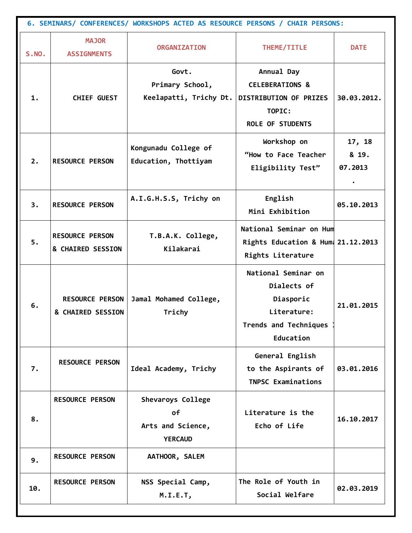| 6. SEMINARS/ CONFERENCES/ WORKSHOPS ACTED AS RESOURCE PERSONS / CHAIR PERSONS: |                                             |                                                                |                                                                                                         |                            |  |  |
|--------------------------------------------------------------------------------|---------------------------------------------|----------------------------------------------------------------|---------------------------------------------------------------------------------------------------------|----------------------------|--|--|
| <b>S.NO.</b>                                                                   | <b>MAJOR</b><br><b>ASSIGNMENTS</b>          | <b>ORGANIZATION</b>                                            | THEME/TITLE                                                                                             | <b>DATE</b>                |  |  |
| 1.                                                                             | <b>CHIEF GUEST</b>                          | Govt.<br>Primary School,<br>Keelapatti, Trichy Dt.             | Annual Day<br><b>CELEBERATIONS &amp;</b><br>DISTRIBUTION OF PRIZES<br>TOPIC:<br><b>ROLE OF STUDENTS</b> | 30.03.2012.                |  |  |
| 2.                                                                             | <b>RESOURCE PERSON</b>                      | Kongunadu College of<br>Education, Thottiyam                   | Workshop on<br>"How to Face Teacher<br>Eligibility Test"                                                | 17, 18<br>& 19.<br>07.2013 |  |  |
| 3.                                                                             | <b>RESOURCE PERSON</b>                      | A.I.G.H.S.S, Trichy on                                         | English<br>Mini Exhibition                                                                              | 05.10.2013                 |  |  |
| 5.                                                                             | <b>RESOURCE PERSON</b><br>& CHAIRED SESSION | T.B.A.K. College,<br>Kilakarai                                 | National Seminar on Hum<br>Rights Education & Hum 21.12.2013<br>Rights Literature                       |                            |  |  |
| 6.                                                                             | <b>RESOURCE PERSON</b><br>& CHAIRED SESSION | Jamal Mohamed College,<br>Trichy                               | National Seminar on<br>Dialects of<br>Diasporic<br>Literature:<br>Trends and Techniques<br>Education    | 21.01.2015                 |  |  |
| 7.                                                                             | <b>RESOURCE PERSON</b>                      | Ideal Academy, Trichy                                          | General English<br>to the Aspirants of<br><b>TNPSC Examinations</b>                                     | 03.01.2016                 |  |  |
| 8.                                                                             | <b>RESOURCE PERSON</b>                      | Shevaroys College<br>οf<br>Arts and Science,<br><b>YERCAUD</b> | Literature is the<br>Echo of Life                                                                       | 16.10.2017                 |  |  |
| 9.                                                                             | <b>RESOURCE PERSON</b>                      | AATHOOR, SALEM                                                 |                                                                                                         |                            |  |  |
| 10.                                                                            | <b>RESOURCE PERSON</b>                      | NSS Special Camp,<br>M.I.E.T,                                  | The Role of Youth in<br>Social Welfare                                                                  | 02.03.2019                 |  |  |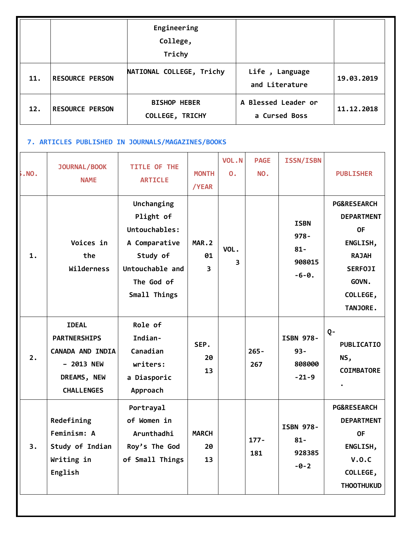|     |                        | Engineering<br>College,<br>Trichy      |                                      |            |
|-----|------------------------|----------------------------------------|--------------------------------------|------------|
| 11. | <b>RESOURCE PERSON</b> | NATIONAL COLLEGE, Trichy               | Life, Language<br>and Literature     | 19.03.2019 |
| 12. | <b>RESOURCE PERSON</b> | <b>BISHOP HEBER</b><br>COLLEGE, TRICHY | A Blessed Leader or<br>a Cursed Boss | 11.12.2018 |

# **7. ARTICLES PUBLISHED IN JOURNALS/MAGAZINES/BOOKS**

| . No. | <b>JOURNAL/BOOK</b><br><b>NAME</b>                                                                               | TITLE OF THE<br><b>ARTICLE</b>                                                                                         | <b>MONTH</b><br>/YEAR                  | VOL.N<br>$\mathbf{0}$ . | <b>PAGE</b><br>NO. | <b>ISSN/ISBN</b>                                      | <b>PUBLISHER</b>                                                                                                                        |
|-------|------------------------------------------------------------------------------------------------------------------|------------------------------------------------------------------------------------------------------------------------|----------------------------------------|-------------------------|--------------------|-------------------------------------------------------|-----------------------------------------------------------------------------------------------------------------------------------------|
| 1.    | Voices in<br>the<br>Wilderness                                                                                   | Unchanging<br>Plight of<br>Untouchables:<br>A Comparative<br>Study of<br>Untouchable and<br>The God of<br>Small Things | MAR.2<br>01<br>$\overline{\mathbf{3}}$ | VOL.<br>3               |                    | <b>ISBN</b><br>$978 -$<br>$81 -$<br>908015<br>$-6-0.$ | <b>PG&amp;RESEARCH</b><br><b>DEPARTMENT</b><br><b>OF</b><br>ENGLISH,<br><b>RAJAH</b><br><b>SERFOJI</b><br>GOVN.<br>COLLEGE,<br>TANJORE. |
| 2.    | <b>IDEAL</b><br><b>PARTNERSHIPS</b><br><b>CANADA AND INDIA</b><br>- 2013 NEW<br>DREAMS, NEW<br><b>CHALLENGES</b> | Role of<br>Indian-<br>Canadian<br>writers:<br>a Diasporic<br>Approach                                                  | SEP.<br>20<br>13                       |                         | $265 -$<br>267     | <b>ISBN 978-</b><br>$93 -$<br>808000<br>$-21-9$       | $Q -$<br><b>PUBLICATIO</b><br>NS,<br><b>COIMBATORE</b>                                                                                  |
| 3.    | Redefining<br>Feminism: A<br>Study of Indian<br>Writing in<br>English                                            | Portrayal<br>of Women in<br>Arunthadhi<br>Roy's The God<br>of Small Things                                             | <b>MARCH</b><br>20<br>13               |                         | $177 -$<br>181     | <b>ISBN 978-</b><br>$81 -$<br>928385<br>$-0-2$        | <b>PG&amp;RESEARCH</b><br><b>DEPARTMENT</b><br><b>OF</b><br>ENGLISH,<br>V.0.C<br>COLLEGE,<br><b>THOOTHUKUD</b>                          |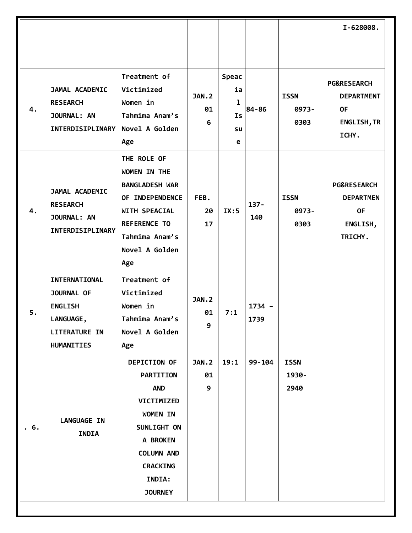|     |                                                                                                                       |                                                                                                                                                                                |                         |                                   |                  |                              | I-628008.                                                                               |
|-----|-----------------------------------------------------------------------------------------------------------------------|--------------------------------------------------------------------------------------------------------------------------------------------------------------------------------|-------------------------|-----------------------------------|------------------|------------------------------|-----------------------------------------------------------------------------------------|
|     |                                                                                                                       |                                                                                                                                                                                |                         |                                   |                  |                              |                                                                                         |
| 4.  | JAMAL ACADEMIC<br><b>RESEARCH</b><br>JOURNAL: AN<br>INTERDISIPLINARY                                                  | Treatment of<br>Victimized<br>Women in<br>Tahmima Anam's<br>Novel A Golden<br>Age                                                                                              | <b>JAN.2</b><br>01<br>6 | Speac<br>ia<br>ı<br>Is<br>su<br>e | 84-86            | <b>ISSN</b><br>0973-<br>0303 | <b>PG&amp;RESEARCH</b><br><b>DEPARTMENT</b><br><b>OF</b><br><b>ENGLISH, TR</b><br>ICHY. |
| 4.  | JAMAL ACADEMIC<br><b>RESEARCH</b><br>JOURNAL: AN<br>INTERDISIPLINARY                                                  | THE ROLE OF<br>WOMEN IN THE<br><b>BANGLADESH WAR</b><br>OF INDEPENDENCE<br>WITH SPEACIAL<br><b>REFERENCE TO</b><br>Tahmima Anam's<br>Novel A Golden<br>Age                     | FEB.<br>20<br>17        | IX:5                              | $137 -$<br>140   | <b>ISSN</b><br>0973-<br>0303 | <b>PG&amp;RESEARCH</b><br><b>DEPARTMEN</b><br><b>OF</b><br>ENGLISH,<br>TRICHY.          |
| 5.  | INTERNATIONAL<br><b>JOURNAL OF</b><br><b>ENGLISH</b><br><b>LANGUAGE,</b><br><b>LITERATURE IN</b><br><b>HUMANITIES</b> | Treatment of<br>Victimized<br>Women in<br>Tahmima Anam's<br>Novel A Golden<br>Age                                                                                              | <b>JAN.2</b><br>01<br>9 | 7:1                               | $1734 -$<br>1739 |                              |                                                                                         |
| .6. | <b>LANGUAGE IN</b><br><b>INDIA</b>                                                                                    | <b>DEPICTION OF</b><br><b>PARTITION</b><br><b>AND</b><br>VICTIMIZED<br>WOMEN IN<br>SUNLIGHT ON<br>A BROKEN<br><b>COLUMN AND</b><br><b>CRACKING</b><br>INDIA:<br><b>JOURNEY</b> | <b>JAN.2</b><br>01<br>9 | 19:1                              | 99-104           | <b>ISSN</b><br>1930-<br>2940 |                                                                                         |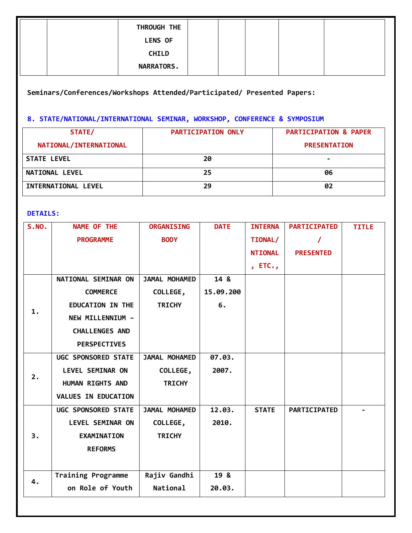| THROUGH THE       |  |  |  |
|-------------------|--|--|--|
| <b>LENS OF</b>    |  |  |  |
| <b>CHILD</b>      |  |  |  |
| <b>NARRATORS.</b> |  |  |  |

**Seminars/Conferences/Workshops Attended/Participated/ Presented Papers:** 

# **8. STATE/NATIONAL/INTERNATIONAL SEMINAR, WORKSHOP, CONFERENCE & SYMPOSIUM**

| STATE/                 | <b>PARTICIPATION ONLY</b> | <b>PARTICIPATION &amp; PAPER</b> |
|------------------------|---------------------------|----------------------------------|
| NATIONAL/INTERNATIONAL |                           | <b>PRESENTATION</b>              |
| <b>STATE LEVEL</b>     | 20                        |                                  |
| <b>NATIONAL LEVEL</b>  | 25                        | 06                               |
| INTERNATIONAL LEVEL    | 29                        |                                  |

#### **DETAILS:**

| S.NO. | NAME OF THE               | <b>ORGANISING</b> | <b>DATE</b> | <b>INTERNA</b> | <b>PARTICIPATED</b> | <b>TITLE</b> |
|-------|---------------------------|-------------------|-------------|----------------|---------------------|--------------|
|       | <b>PROGRAMME</b>          | <b>BODY</b>       |             | TIONAL/        |                     |              |
|       |                           |                   |             | <b>NTIONAL</b> | <b>PRESENTED</b>    |              |
|       |                           |                   |             | , $ETC.$       |                     |              |
|       | NATIONAL SEMINAR ON       | JAMAL MOHAMED     | 14 &        |                |                     |              |
|       | <b>COMMERCE</b>           | COLLEGE,          | 15.09.200   |                |                     |              |
|       | <b>EDUCATION IN THE</b>   | <b>TRICHY</b>     | 6.          |                |                     |              |
| 1.    | NEW MILLENNIUM -          |                   |             |                |                     |              |
|       | <b>CHALLENGES AND</b>     |                   |             |                |                     |              |
|       | <b>PERSPECTIVES</b>       |                   |             |                |                     |              |
|       | UGC SPONSORED STATE       | JAMAL MOHAMED     | 07.03.      |                |                     |              |
| 2.    | LEVEL SEMINAR ON          | COLLEGE,          | 2007.       |                |                     |              |
|       | HUMAN RIGHTS AND          | <b>TRICHY</b>     |             |                |                     |              |
|       | VALUES IN EDUCATION       |                   |             |                |                     |              |
|       | UGC SPONSORED STATE       | JAMAL MOHAMED     | 12.03.      | <b>STATE</b>   | PARTICIPATED        |              |
|       | LEVEL SEMINAR ON          | COLLEGE,          | 2010.       |                |                     |              |
| 3.    | <b>EXAMINATION</b>        | <b>TRICHY</b>     |             |                |                     |              |
|       | <b>REFORMS</b>            |                   |             |                |                     |              |
|       |                           |                   |             |                |                     |              |
| 4.    | <b>Training Programme</b> | Rajiv Gandhi      | 19 &        |                |                     |              |
|       | on Role of Youth          | National          | 20.03.      |                |                     |              |
|       |                           |                   |             |                |                     |              |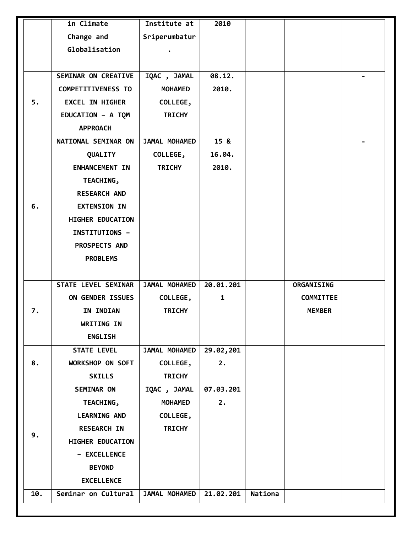|     | in Climate                 | Institute at   | 2010         |         |                   |                          |
|-----|----------------------------|----------------|--------------|---------|-------------------|--------------------------|
|     | Change and                 | Sriperumbatur  |              |         |                   |                          |
|     | Globalisation              |                |              |         |                   |                          |
|     |                            |                |              |         |                   |                          |
|     | <b>SEMINAR ON CREATIVE</b> | IQAC, JAMAL    | 08.12.       |         |                   | $\overline{\phantom{0}}$ |
|     | <b>COMPETITIVENESS TO</b>  | <b>MOHAMED</b> | 2010.        |         |                   |                          |
| 5.  | <b>EXCEL IN HIGHER</b>     | COLLEGE,       |              |         |                   |                          |
|     | EDUCATION - A TQM          | <b>TRICHY</b>  |              |         |                   |                          |
|     | <b>APPROACH</b>            |                |              |         |                   |                          |
|     | NATIONAL SEMINAR ON        | JAMAL MOHAMED  | 15 &         |         |                   |                          |
|     | QUALITY                    | COLLEGE,       | 16.04.       |         |                   |                          |
|     | <b>ENHANCEMENT IN</b>      | <b>TRICHY</b>  | 2010.        |         |                   |                          |
|     | TEACHING,                  |                |              |         |                   |                          |
|     | <b>RESEARCH AND</b>        |                |              |         |                   |                          |
| 6.  | <b>EXTENSION IN</b>        |                |              |         |                   |                          |
|     | HIGHER EDUCATION           |                |              |         |                   |                          |
|     | INSTITUTIONS -             |                |              |         |                   |                          |
|     | PROSPECTS AND              |                |              |         |                   |                          |
|     | <b>PROBLEMS</b>            |                |              |         |                   |                          |
|     |                            |                |              |         |                   |                          |
|     | STATE LEVEL SEMINAR        | JAMAL MOHAMED  | 20.01.201    |         | <b>ORGANISING</b> |                          |
|     | ON GENDER ISSUES           | COLLEGE,       | $\mathbf{1}$ |         | <b>COMMITTEE</b>  |                          |
| 7.  | IN INDIAN                  | <b>TRICHY</b>  |              |         | <b>MEMBER</b>     |                          |
|     | WRITING IN                 |                |              |         |                   |                          |
|     | <b>ENGLISH</b>             |                |              |         |                   |                          |
|     | <b>STATE LEVEL</b>         | JAMAL MOHAMED  | 29.02,201    |         |                   |                          |
| 8.  | WORKSHOP ON SOFT           | COLLEGE,       | 2.           |         |                   |                          |
|     | <b>SKILLS</b>              | <b>TRICHY</b>  |              |         |                   |                          |
|     | SEMINAR ON                 | IQAC, JAMAL    | 07.03.201    |         |                   |                          |
|     | TEACHING,                  | <b>MOHAMED</b> | 2.           |         |                   |                          |
|     | <b>LEARNING AND</b>        | COLLEGE,       |              |         |                   |                          |
|     | <b>RESEARCH IN</b>         | <b>TRICHY</b>  |              |         |                   |                          |
| 9.  | HIGHER EDUCATION           |                |              |         |                   |                          |
|     | - EXCELLENCE               |                |              |         |                   |                          |
|     | <b>BEYOND</b>              |                |              |         |                   |                          |
|     | <b>EXCELLENCE</b>          |                |              |         |                   |                          |
| 10. | Seminar on Cultural        | JAMAL MOHAMED  | 21.02.201    | Nationa |                   |                          |
|     |                            |                |              |         |                   |                          |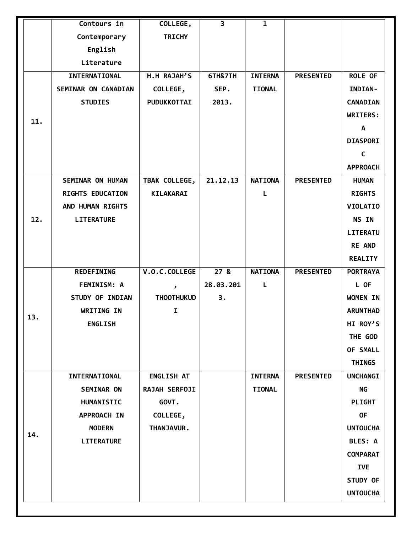|     | Contours in             | COLLEGE,           | $\overline{\mathbf{3}}$ | $\mathbf{I}$   |                  |                 |
|-----|-------------------------|--------------------|-------------------------|----------------|------------------|-----------------|
|     | Contemporary            | <b>TRICHY</b>      |                         |                |                  |                 |
|     | English                 |                    |                         |                |                  |                 |
|     | Literature              |                    |                         |                |                  |                 |
|     | INTERNATIONAL           | H.H RAJAH'S        | 6TH&7TH                 | <b>INTERNA</b> | <b>PRESENTED</b> | <b>ROLE OF</b>  |
|     | SEMINAR ON CANADIAN     | COLLEGE,           | SEP.                    | <b>TIONAL</b>  |                  | INDIAN-         |
|     | <b>STUDIES</b>          | <b>PUDUKKOTTAI</b> | 2013.                   |                |                  | <b>CANADIAN</b> |
|     |                         |                    |                         |                |                  | WRITERS:        |
| 11. |                         |                    |                         |                |                  | A               |
|     |                         |                    |                         |                |                  | <b>DIASPORI</b> |
|     |                         |                    |                         |                |                  | $\mathsf{C}$    |
|     |                         |                    |                         |                |                  | <b>APPROACH</b> |
|     | <b>SEMINAR ON HUMAN</b> | TBAK COLLEGE,      | 21.12.13                | <b>NATIONA</b> | <b>PRESENTED</b> | <b>HUMAN</b>    |
|     | RIGHTS EDUCATION        | <b>KILAKARAI</b>   |                         | L              |                  | <b>RIGHTS</b>   |
|     | AND HUMAN RIGHTS        |                    |                         |                |                  | <b>VIOLATIO</b> |
| 12. | <b>LITERATURE</b>       |                    |                         |                |                  | NS IN           |
|     |                         |                    |                         |                |                  | LITERATU        |
|     |                         |                    |                         |                |                  | <b>RE AND</b>   |
|     |                         |                    |                         |                |                  | <b>REALITY</b>  |
|     | <b>REDEFINING</b>       | V.O.C.COLLEGE      | 27 <sub>8</sub>         | <b>NATIONA</b> | <b>PRESENTED</b> | <b>PORTRAYA</b> |
|     | <b>FEMINISM: A</b>      | $\mathbf{v}$       | 28.03.201               | L              |                  | L OF            |
|     | STUDY OF INDIAN         | <b>THOOTHUKUD</b>  | 3.                      |                |                  | WOMEN IN        |
|     | WRITING IN              | $\mathbf I$        |                         |                |                  | <b>ARUNTHAD</b> |
| 13. | <b>ENGLISH</b>          |                    |                         |                |                  | HI ROY'S        |
|     |                         |                    |                         |                |                  | THE GOD         |
|     |                         |                    |                         |                |                  | OF SMALL        |
|     |                         |                    |                         |                |                  | <b>THINGS</b>   |
|     | INTERNATIONAL           | <b>ENGLISH AT</b>  |                         | <b>INTERNA</b> | <b>PRESENTED</b> | <b>UNCHANGI</b> |
|     | <b>SEMINAR ON</b>       | RAJAH SERFOJI      |                         | <b>TIONAL</b>  |                  | <b>NG</b>       |
|     | HUMANISTIC              | GOVT.              |                         |                |                  | <b>PLIGHT</b>   |
|     | APPROACH IN             | COLLEGE,           |                         |                |                  | <b>OF</b>       |
|     | <b>MODERN</b>           | THANJAVUR.         |                         |                |                  | <b>UNTOUCHA</b> |
| 14. | <b>LITERATURE</b>       |                    |                         |                |                  | <b>BLES: A</b>  |
|     |                         |                    |                         |                |                  | <b>COMPARAT</b> |
|     |                         |                    |                         |                |                  | <b>IVE</b>      |
|     |                         |                    |                         |                |                  | STUDY OF        |
|     |                         |                    |                         |                |                  | <b>UNTOUCHA</b> |
|     |                         |                    |                         |                |                  |                 |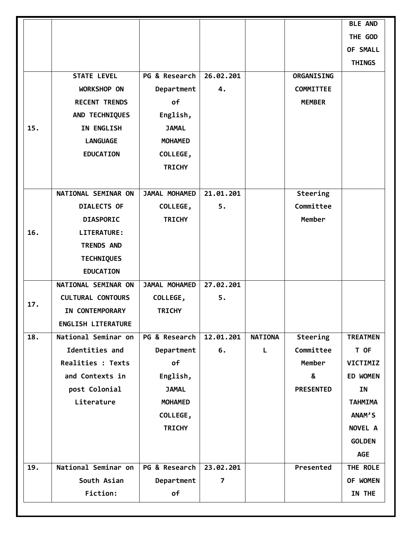|     |                           |                |           |                |                  | <b>BLE AND</b>  |
|-----|---------------------------|----------------|-----------|----------------|------------------|-----------------|
|     |                           |                |           |                |                  | THE GOD         |
|     |                           |                |           |                |                  | OF SMALL        |
|     |                           |                |           |                |                  | <b>THINGS</b>   |
|     | <b>STATE LEVEL</b>        | PG & Research  | 26.02.201 |                | ORGANISING       |                 |
|     | <b>WORKSHOP ON</b>        | Department     | 4.        |                | <b>COMMITTEE</b> |                 |
|     | <b>RECENT TRENDS</b>      | of             |           |                | <b>MEMBER</b>    |                 |
|     | AND TECHNIQUES            | English,       |           |                |                  |                 |
| 15. | IN ENGLISH                | <b>JAMAL</b>   |           |                |                  |                 |
|     | <b>LANGUAGE</b>           | <b>MOHAMED</b> |           |                |                  |                 |
|     | <b>EDUCATION</b>          | COLLEGE,       |           |                |                  |                 |
|     |                           | <b>TRICHY</b>  |           |                |                  |                 |
|     |                           |                |           |                |                  |                 |
|     | NATIONAL SEMINAR ON       | JAMAL MOHAMED  | 21.01.201 |                | Steering         |                 |
|     | <b>DIALECTS OF</b>        | COLLEGE,       | 5.        |                | Committee        |                 |
|     | <b>DIASPORIC</b>          | <b>TRICHY</b>  |           |                | Member           |                 |
| 16. | <b>LITERATURE:</b>        |                |           |                |                  |                 |
|     | <b>TRENDS AND</b>         |                |           |                |                  |                 |
|     | <b>TECHNIQUES</b>         |                |           |                |                  |                 |
|     | <b>EDUCATION</b>          |                |           |                |                  |                 |
|     | NATIONAL SEMINAR ON       | JAMAL MOHAMED  | 27.02.201 |                |                  |                 |
|     | <b>CULTURAL CONTOURS</b>  | COLLEGE,       | 5.        |                |                  |                 |
| 17. | IN CONTEMPORARY           | <b>TRICHY</b>  |           |                |                  |                 |
|     | <b>ENGLISH LITERATURE</b> |                |           |                |                  |                 |
| 18. | National Seminar on       | PG & Research  | 12.01.201 | <b>NATIONA</b> | Steering         | <b>TREATMEN</b> |
|     | Identities and            | Department     | 6.        | L              | Committee        | T OF            |
|     | Realities : Texts         | of             |           |                | Member           | VICTIMIZ        |
|     | and Contexts in           | English,       |           |                | &                | <b>ED WOMEN</b> |
|     | post Colonial             | <b>JAMAL</b>   |           |                | <b>PRESENTED</b> | IN              |
|     | Literature                | <b>MOHAMED</b> |           |                |                  | <b>TAHMIMA</b>  |
|     |                           | COLLEGE,       |           |                |                  | ANAM'S          |
|     |                           | <b>TRICHY</b>  |           |                |                  | NOVEL A         |
|     |                           |                |           |                |                  | <b>GOLDEN</b>   |
|     |                           |                |           |                |                  | <b>AGE</b>      |
| 19. | National Seminar on       | PG & Research  | 23.02.201 |                | Presented        | THE ROLE        |
|     | South Asian               | Department     | 7         |                |                  | OF WOMEN        |
|     | Fiction:                  |                |           |                |                  |                 |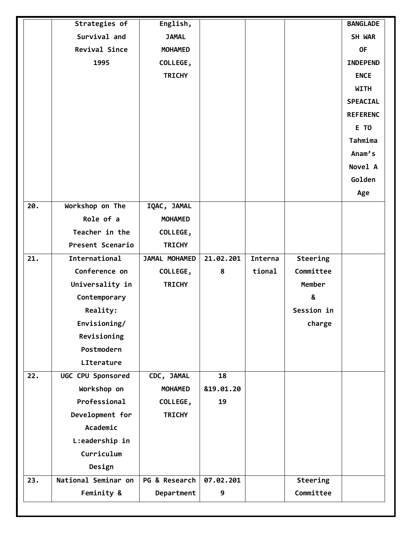|                   | Strategies of        | English,       |           |         |                 | <b>BANGLADE</b> |  |
|-------------------|----------------------|----------------|-----------|---------|-----------------|-----------------|--|
|                   | Survival and         | <b>JAMAL</b>   |           |         |                 | SH WAR          |  |
|                   | <b>Revival Since</b> | <b>MOHAMED</b> |           |         |                 | <b>OF</b>       |  |
|                   | 1995                 | COLLEGE,       |           |         |                 | <b>INDEPEND</b> |  |
|                   |                      | <b>TRICHY</b>  |           |         |                 | <b>ENCE</b>     |  |
|                   |                      |                |           |         |                 | <b>WITH</b>     |  |
|                   |                      |                |           |         |                 | <b>SPEACIAL</b> |  |
|                   |                      |                |           |         |                 | <b>REFERENC</b> |  |
|                   |                      |                |           |         |                 | E TO            |  |
|                   |                      |                |           |         |                 | Tahmima         |  |
|                   |                      |                |           |         |                 | Anam's          |  |
|                   |                      |                |           |         |                 | Novel A         |  |
|                   |                      |                |           |         |                 | Golden          |  |
|                   |                      |                |           |         |                 | Age             |  |
| 20.               | Workshop on The      | IQAC, JAMAL    |           |         |                 |                 |  |
|                   | Role of a            | <b>MOHAMED</b> |           |         |                 |                 |  |
|                   | Teacher in the       | COLLEGE,       |           |         |                 |                 |  |
|                   | Present Scenario     | <b>TRICHY</b>  |           |         |                 |                 |  |
| $\overline{21}$ . | International        | JAMAL MOHAMED  | 21.02.201 | Interna | <b>Steering</b> |                 |  |
|                   | Conference on        | COLLEGE,       | 8         | tional  | Committee       |                 |  |
|                   | Universality in      | <b>TRICHY</b>  |           |         | Member          |                 |  |
|                   | Contemporary         |                |           |         | &               |                 |  |
|                   | Reality:             |                |           |         | Session in      |                 |  |
|                   | Envisioning/         |                |           |         | charge          |                 |  |
|                   | Revisioning          |                |           |         |                 |                 |  |
|                   | Postmodern           |                |           |         |                 |                 |  |
|                   | LIterature           |                |           |         |                 |                 |  |
| 22.               | UGC CPU Sponsored    | CDC, JAMAL     | 18        |         |                 |                 |  |
|                   | Workshop on          | <b>MOHAMED</b> | 819.01.20 |         |                 |                 |  |
|                   | Professional         | COLLEGE,       | 19        |         |                 |                 |  |
|                   | Development for      | <b>TRICHY</b>  |           |         |                 |                 |  |
|                   | Academic             |                |           |         |                 |                 |  |
|                   | L:eadership in       |                |           |         |                 |                 |  |
|                   | Curriculum           |                |           |         |                 |                 |  |
|                   | Design               |                |           |         |                 |                 |  |
| 23.               | National Seminar on  | PG & Research  | 07.02.201 |         | Steering        |                 |  |
|                   | Feminity &           | Department     | 9         |         | Committee       |                 |  |
|                   |                      |                |           |         |                 |                 |  |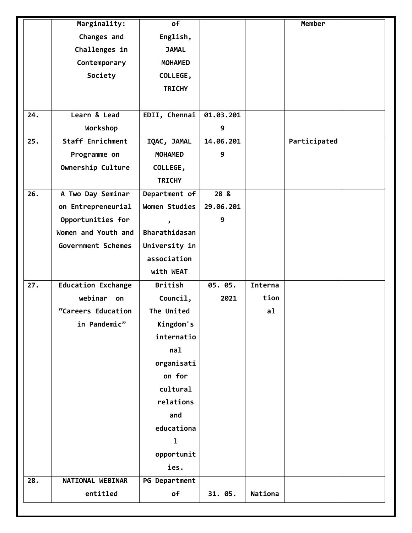|     | Marginality:              | of                   |           |         | Member       |  |
|-----|---------------------------|----------------------|-----------|---------|--------------|--|
|     | Changes and               | English,             |           |         |              |  |
|     | Challenges in             | <b>JAMAL</b>         |           |         |              |  |
|     | Contemporary              | <b>MOHAMED</b>       |           |         |              |  |
|     | Society                   | COLLEGE,             |           |         |              |  |
|     |                           | <b>TRICHY</b>        |           |         |              |  |
|     |                           |                      |           |         |              |  |
| 24. | Learn & Lead              | EDII, Chennai        | 01.03.201 |         |              |  |
|     | Workshop                  |                      | 9         |         |              |  |
| 25. | Staff Enrichment          | IQAC, JAMAL          | 14.06.201 |         | Participated |  |
|     | Programme on              | <b>MOHAMED</b>       | 9         |         |              |  |
|     | Ownership Culture         | COLLEGE,             |           |         |              |  |
|     |                           | <b>TRICHY</b>        |           |         |              |  |
| 26. | A Two Day Seminar         | Department of        | 28 &      |         |              |  |
|     | on Entrepreneurial        | Women Studies        | 29.06.201 |         |              |  |
|     | Opportunities for         | $\mathbf{z}$         | 9         |         |              |  |
|     | Women and Youth and       | Bharathidasan        |           |         |              |  |
|     | Government Schemes        | University in        |           |         |              |  |
|     |                           | association          |           |         |              |  |
|     |                           | with WEAT            |           |         |              |  |
| 27. | <b>Education Exchange</b> | <b>British</b>       | 05. 05.   | Interna |              |  |
|     | webinar<br>on             | Council,             | 2021      | tion    |              |  |
|     | "Careers Education        | The United           |           | a1      |              |  |
|     | in Pandemic"              | Kingdom's            |           |         |              |  |
|     |                           | internatio           |           |         |              |  |
|     |                           | nal                  |           |         |              |  |
|     |                           | organisati           |           |         |              |  |
|     |                           | on for               |           |         |              |  |
|     |                           | cultural             |           |         |              |  |
|     |                           | relations            |           |         |              |  |
|     |                           | and                  |           |         |              |  |
|     |                           | educationa           |           |         |              |  |
|     |                           | ı                    |           |         |              |  |
|     |                           | opportunit           |           |         |              |  |
|     |                           | ies.                 |           |         |              |  |
| 28. | NATIONAL WEBINAR          | <b>PG Department</b> |           |         |              |  |
|     | entitled                  | of                   | 31. 05.   | Nationa |              |  |
|     |                           |                      |           |         |              |  |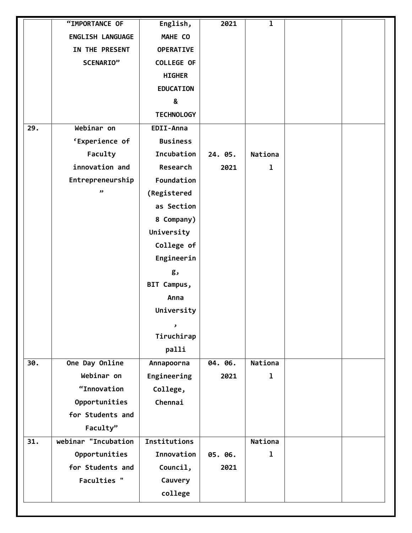| MAHE CO<br>ENGLISH LANGUAGE<br>IN THE PRESENT<br><b>OPERATIVE</b><br><b>COLLEGE OF</b><br>SCENARIO"<br><b>HIGHER</b><br><b>EDUCATION</b><br>&<br><b>TECHNOLOGY</b><br>Webinar on<br>29.<br>EDII-Anna<br>'Experience of<br><b>Business</b><br>Faculty<br>Incubation<br>24. 05.<br>Nationa<br>innovation and<br>Research<br>2021<br>1<br>Foundation<br>Entrepreneurship<br>دد<br>(Registered |  |
|--------------------------------------------------------------------------------------------------------------------------------------------------------------------------------------------------------------------------------------------------------------------------------------------------------------------------------------------------------------------------------------------|--|
|                                                                                                                                                                                                                                                                                                                                                                                            |  |
|                                                                                                                                                                                                                                                                                                                                                                                            |  |
|                                                                                                                                                                                                                                                                                                                                                                                            |  |
|                                                                                                                                                                                                                                                                                                                                                                                            |  |
|                                                                                                                                                                                                                                                                                                                                                                                            |  |
|                                                                                                                                                                                                                                                                                                                                                                                            |  |
|                                                                                                                                                                                                                                                                                                                                                                                            |  |
|                                                                                                                                                                                                                                                                                                                                                                                            |  |
|                                                                                                                                                                                                                                                                                                                                                                                            |  |
|                                                                                                                                                                                                                                                                                                                                                                                            |  |
|                                                                                                                                                                                                                                                                                                                                                                                            |  |
|                                                                                                                                                                                                                                                                                                                                                                                            |  |
|                                                                                                                                                                                                                                                                                                                                                                                            |  |
| as Section                                                                                                                                                                                                                                                                                                                                                                                 |  |
| 8 Company)                                                                                                                                                                                                                                                                                                                                                                                 |  |
| University                                                                                                                                                                                                                                                                                                                                                                                 |  |
| College of                                                                                                                                                                                                                                                                                                                                                                                 |  |
| Engineerin                                                                                                                                                                                                                                                                                                                                                                                 |  |
| g,                                                                                                                                                                                                                                                                                                                                                                                         |  |
| BIT Campus,                                                                                                                                                                                                                                                                                                                                                                                |  |
| Anna                                                                                                                                                                                                                                                                                                                                                                                       |  |
| University                                                                                                                                                                                                                                                                                                                                                                                 |  |
| ر                                                                                                                                                                                                                                                                                                                                                                                          |  |
| Tiruchirap                                                                                                                                                                                                                                                                                                                                                                                 |  |
| palli                                                                                                                                                                                                                                                                                                                                                                                      |  |
| One Day Online<br>Nationa<br>30.<br>Annapoorna<br>04. 06.                                                                                                                                                                                                                                                                                                                                  |  |
| Webinar on<br>Engineering<br>$\mathbf{1}$<br>2021                                                                                                                                                                                                                                                                                                                                          |  |
| "Innovation<br>College,                                                                                                                                                                                                                                                                                                                                                                    |  |
| Opportunities<br>Chennai                                                                                                                                                                                                                                                                                                                                                                   |  |
| for Students and                                                                                                                                                                                                                                                                                                                                                                           |  |
| Faculty"                                                                                                                                                                                                                                                                                                                                                                                   |  |
| webinar "Incubation<br>Institutions<br>31.<br>Nationa                                                                                                                                                                                                                                                                                                                                      |  |
| Innovation<br>Opportunities<br>05. 06.<br>1                                                                                                                                                                                                                                                                                                                                                |  |
| for Students and<br>Council,<br>2021                                                                                                                                                                                                                                                                                                                                                       |  |
| <b>Faculties "</b><br>Cauvery                                                                                                                                                                                                                                                                                                                                                              |  |
| college                                                                                                                                                                                                                                                                                                                                                                                    |  |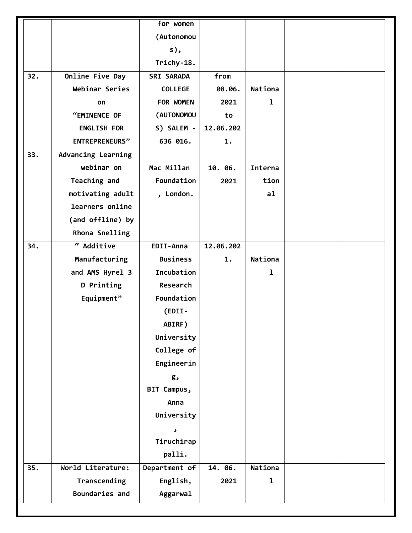|     |                           | for women         |           |             |  |
|-----|---------------------------|-------------------|-----------|-------------|--|
|     |                           | (Autonomou        |           |             |  |
|     |                           | $s)$ ,            |           |             |  |
|     |                           | Trichy-18.        |           |             |  |
| 32. | Online Five Day           | <b>SRI SARADA</b> | from      |             |  |
|     | Webinar Series            | <b>COLLEGE</b>    | 08.06.    | Nationa     |  |
|     | on                        | FOR WOMEN         | 2021      | 1           |  |
|     | "EMINENCE OF              | (AUTONOMOU        | to        |             |  |
|     | <b>ENGLISH FOR</b>        | S) SALEM -        | 12.06.202 |             |  |
|     | <b>ENTREPRENEURS"</b>     | 636 016.          | 1.        |             |  |
| 33. | <b>Advancing Learning</b> |                   |           |             |  |
|     | webinar on                | Mac Millan        | 10. 06.   | Interna     |  |
|     | Teaching and              | Foundation        | 2021      | tion        |  |
|     | motivating adult          | , London.         |           | a1          |  |
|     | learners online           |                   |           |             |  |
|     | (and offline) by          |                   |           |             |  |
|     | Rhona Snelling            |                   |           |             |  |
| 34. | " Additive                | EDII-Anna         | 12.06.202 |             |  |
|     | Manufacturing             | <b>Business</b>   | 1.        | Nationa     |  |
|     | and AMS Hyrel 3           | Incubation        |           | 1           |  |
|     | D Printing                | Research          |           |             |  |
|     | Equipment"                | Foundation        |           |             |  |
|     |                           | (EDII-            |           |             |  |
|     |                           | ABIRF)            |           |             |  |
|     |                           | University        |           |             |  |
|     |                           | College of        |           |             |  |
|     |                           | Engineerin        |           |             |  |
|     |                           | g,                |           |             |  |
|     |                           | BIT Campus,       |           |             |  |
|     |                           | Anna              |           |             |  |
|     |                           | University        |           |             |  |
|     |                           | ر                 |           |             |  |
|     |                           | Tiruchirap        |           |             |  |
|     |                           | palli.            |           |             |  |
| 35. | World Literature:         | Department of     | 14. 06.   | Nationa     |  |
|     | Transcending              | English,          | 2021      | $\mathbf 1$ |  |
|     | Boundaries and            | Aggarwal          |           |             |  |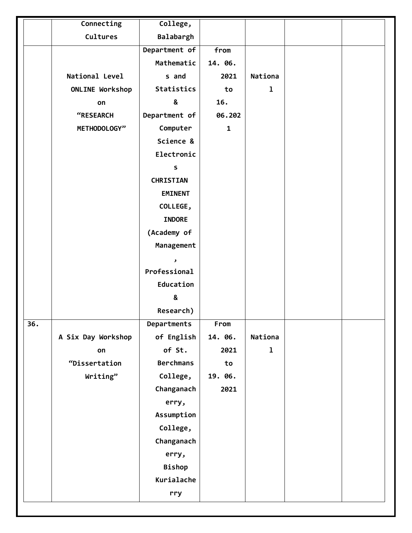|     | Connecting         | College,          |              |              |  |
|-----|--------------------|-------------------|--------------|--------------|--|
|     | Cultures           | Balabargh         |              |              |  |
|     |                    | Department of     | from         |              |  |
|     |                    | Mathematic        | 14. 06.      |              |  |
|     | National Level     | s and             | 2021         | Nationa      |  |
|     | ONLINE Workshop    | <b>Statistics</b> | to           | $\mathbf{1}$ |  |
|     | on                 | &                 | 16.          |              |  |
|     | "RESEARCH          | Department of     | 06.202       |              |  |
|     | METHODOLOGY"       | Computer          | $\mathbf{1}$ |              |  |
|     |                    | Science &         |              |              |  |
|     |                    | Electronic        |              |              |  |
|     |                    | S                 |              |              |  |
|     |                    | <b>CHRISTIAN</b>  |              |              |  |
|     |                    | <b>EMINENT</b>    |              |              |  |
|     |                    | COLLEGE,          |              |              |  |
|     |                    | <b>INDORE</b>     |              |              |  |
|     |                    | (Academy of       |              |              |  |
|     |                    | Management        |              |              |  |
|     |                    | ر                 |              |              |  |
|     |                    | Professional      |              |              |  |
|     |                    | Education         |              |              |  |
|     |                    | &                 |              |              |  |
|     |                    | Research)         |              |              |  |
| 36. |                    | Departments       | From         |              |  |
|     | A Six Day Workshop | of English        | 14. 06.      | Nationa      |  |
|     | on                 | of St.            | 2021         | $\mathbf{1}$ |  |
|     | "Dissertation      | <b>Berchmans</b>  | to           |              |  |
|     | Writing"           | College,          | 19. 06.      |              |  |
|     |                    | Changanach        | 2021         |              |  |
|     |                    | erry,             |              |              |  |
|     |                    | Assumption        |              |              |  |
|     |                    | College,          |              |              |  |
|     |                    | Changanach        |              |              |  |
|     |                    | erry,             |              |              |  |
|     |                    | <b>Bishop</b>     |              |              |  |
|     |                    | Kurialache        |              |              |  |
|     |                    | rry               |              |              |  |
|     |                    |                   |              |              |  |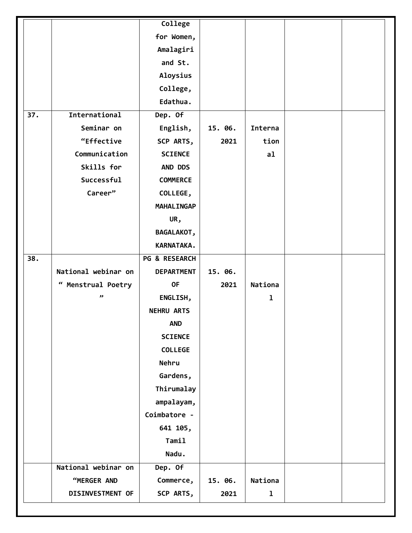|     |                     | College                  |         |             |  |
|-----|---------------------|--------------------------|---------|-------------|--|
|     |                     | for Women,               |         |             |  |
|     |                     | Amalagiri                |         |             |  |
|     |                     | and St.                  |         |             |  |
|     |                     | Aloysius                 |         |             |  |
|     |                     | College,                 |         |             |  |
|     |                     | Edathua.                 |         |             |  |
| 37. | International       | Dep. Of                  |         |             |  |
|     | Seminar on          | English,                 | 15. 06. | Interna     |  |
|     | "Effective          | SCP ARTS,                | 2021    | tion        |  |
|     | Communication       | <b>SCIENCE</b>           |         | a1          |  |
|     | Skills for          | AND DDS                  |         |             |  |
|     | Successful          | <b>COMMERCE</b>          |         |             |  |
|     | Career"             | COLLEGE,                 |         |             |  |
|     |                     | <b>MAHALINGAP</b>        |         |             |  |
|     |                     | UR,                      |         |             |  |
|     |                     | <b>BAGALAKOT,</b>        |         |             |  |
|     |                     | KARNATAKA.               |         |             |  |
| 38. |                     | <b>PG &amp; RESEARCH</b> |         |             |  |
|     | National webinar on | <b>DEPARTMENT</b>        | 15. 06. |             |  |
|     | " Menstrual Poetry  | <b>OF</b>                | 2021    | Nationa     |  |
|     | وو                  | ENGLISH,                 |         | $\mathbf 1$ |  |
|     |                     | <b>NEHRU ARTS</b>        |         |             |  |
|     |                     | <b>AND</b>               |         |             |  |
|     |                     | <b>SCIENCE</b>           |         |             |  |
|     |                     | <b>COLLEGE</b>           |         |             |  |
|     |                     | Nehru                    |         |             |  |
|     |                     | Gardens,                 |         |             |  |
|     |                     | Thirumalay               |         |             |  |
|     |                     | ampalayam,               |         |             |  |
|     |                     | Coimbatore -             |         |             |  |
|     |                     | 641 105,                 |         |             |  |
|     |                     | Tamil                    |         |             |  |
|     |                     | Nadu.                    |         |             |  |
|     | National webinar on | Dep. Of                  |         |             |  |
|     | "MERGER AND         | Commerce,                | 15. 06. | Nationa     |  |
|     | DISINVESTMENT OF    | SCP ARTS,                | 2021    | $\mathbf 1$ |  |
|     |                     |                          |         |             |  |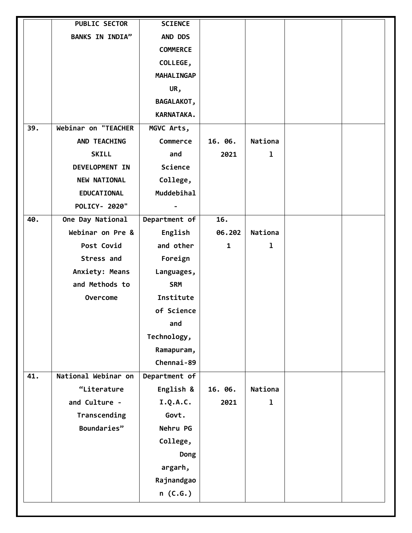| <b>BANKS IN INDIA"</b><br>AND DDS<br><b>COMMERCE</b><br>COLLEGE,<br><b>MAHALINGAP</b><br>UR,<br><b>BAGALAKOT,</b><br>KARNATAKA.<br>Webinar on "TEACHER<br>39.<br>MGVC Arts,<br>Nationa<br>AND TEACHING<br>Commerce<br>16. 06.<br>$\mathbf{1}$<br><b>SKILL</b><br>and<br>2021<br>Science<br>DEVELOPMENT IN<br><b>NEW NATIONAL</b><br>College,<br>Muddebihal<br><b>EDUCATIONAL</b><br>POLICY- 2020"<br>Department of<br>One Day National<br>16.<br>40.<br>Webinar on Pre &<br>English<br>06.202<br>Nationa<br>Post Covid<br>and other<br>$\mathbf{1}$<br>$\mathbf{1}$<br>Stress and<br>Foreign<br>Anxiety: Means<br>Languages,<br>and Methods to<br><b>SRM</b><br>Institute<br>Overcome<br>of Science<br>and<br>Technology,<br>Ramapuram,<br>Chennai-89<br>National Webinar on<br>41.<br>Department of<br>English &<br>Nationa<br>"Literature<br>16. 06.<br>and Culture -<br>I.Q.A.C.<br>$\mathbf{1}$<br>2021<br>Transcending<br>Govt.<br>Boundaries"<br>Nehru PG<br>College,<br>Dong<br>argarh,<br>Rajnandgao | <b>PUBLIC SECTOR</b> | <b>SCIENCE</b> |  |  |
|--------------------------------------------------------------------------------------------------------------------------------------------------------------------------------------------------------------------------------------------------------------------------------------------------------------------------------------------------------------------------------------------------------------------------------------------------------------------------------------------------------------------------------------------------------------------------------------------------------------------------------------------------------------------------------------------------------------------------------------------------------------------------------------------------------------------------------------------------------------------------------------------------------------------------------------------------------------------------------------------------------------|----------------------|----------------|--|--|
|                                                                                                                                                                                                                                                                                                                                                                                                                                                                                                                                                                                                                                                                                                                                                                                                                                                                                                                                                                                                              |                      |                |  |  |
|                                                                                                                                                                                                                                                                                                                                                                                                                                                                                                                                                                                                                                                                                                                                                                                                                                                                                                                                                                                                              |                      |                |  |  |
|                                                                                                                                                                                                                                                                                                                                                                                                                                                                                                                                                                                                                                                                                                                                                                                                                                                                                                                                                                                                              |                      |                |  |  |
|                                                                                                                                                                                                                                                                                                                                                                                                                                                                                                                                                                                                                                                                                                                                                                                                                                                                                                                                                                                                              |                      |                |  |  |
|                                                                                                                                                                                                                                                                                                                                                                                                                                                                                                                                                                                                                                                                                                                                                                                                                                                                                                                                                                                                              |                      |                |  |  |
|                                                                                                                                                                                                                                                                                                                                                                                                                                                                                                                                                                                                                                                                                                                                                                                                                                                                                                                                                                                                              |                      |                |  |  |
|                                                                                                                                                                                                                                                                                                                                                                                                                                                                                                                                                                                                                                                                                                                                                                                                                                                                                                                                                                                                              |                      |                |  |  |
|                                                                                                                                                                                                                                                                                                                                                                                                                                                                                                                                                                                                                                                                                                                                                                                                                                                                                                                                                                                                              |                      |                |  |  |
|                                                                                                                                                                                                                                                                                                                                                                                                                                                                                                                                                                                                                                                                                                                                                                                                                                                                                                                                                                                                              |                      |                |  |  |
|                                                                                                                                                                                                                                                                                                                                                                                                                                                                                                                                                                                                                                                                                                                                                                                                                                                                                                                                                                                                              |                      |                |  |  |
|                                                                                                                                                                                                                                                                                                                                                                                                                                                                                                                                                                                                                                                                                                                                                                                                                                                                                                                                                                                                              |                      |                |  |  |
|                                                                                                                                                                                                                                                                                                                                                                                                                                                                                                                                                                                                                                                                                                                                                                                                                                                                                                                                                                                                              |                      |                |  |  |
|                                                                                                                                                                                                                                                                                                                                                                                                                                                                                                                                                                                                                                                                                                                                                                                                                                                                                                                                                                                                              |                      |                |  |  |
|                                                                                                                                                                                                                                                                                                                                                                                                                                                                                                                                                                                                                                                                                                                                                                                                                                                                                                                                                                                                              |                      |                |  |  |
|                                                                                                                                                                                                                                                                                                                                                                                                                                                                                                                                                                                                                                                                                                                                                                                                                                                                                                                                                                                                              |                      |                |  |  |
|                                                                                                                                                                                                                                                                                                                                                                                                                                                                                                                                                                                                                                                                                                                                                                                                                                                                                                                                                                                                              |                      |                |  |  |
|                                                                                                                                                                                                                                                                                                                                                                                                                                                                                                                                                                                                                                                                                                                                                                                                                                                                                                                                                                                                              |                      |                |  |  |
|                                                                                                                                                                                                                                                                                                                                                                                                                                                                                                                                                                                                                                                                                                                                                                                                                                                                                                                                                                                                              |                      |                |  |  |
|                                                                                                                                                                                                                                                                                                                                                                                                                                                                                                                                                                                                                                                                                                                                                                                                                                                                                                                                                                                                              |                      |                |  |  |
|                                                                                                                                                                                                                                                                                                                                                                                                                                                                                                                                                                                                                                                                                                                                                                                                                                                                                                                                                                                                              |                      |                |  |  |
|                                                                                                                                                                                                                                                                                                                                                                                                                                                                                                                                                                                                                                                                                                                                                                                                                                                                                                                                                                                                              |                      |                |  |  |
|                                                                                                                                                                                                                                                                                                                                                                                                                                                                                                                                                                                                                                                                                                                                                                                                                                                                                                                                                                                                              |                      |                |  |  |
|                                                                                                                                                                                                                                                                                                                                                                                                                                                                                                                                                                                                                                                                                                                                                                                                                                                                                                                                                                                                              |                      |                |  |  |
|                                                                                                                                                                                                                                                                                                                                                                                                                                                                                                                                                                                                                                                                                                                                                                                                                                                                                                                                                                                                              |                      |                |  |  |
|                                                                                                                                                                                                                                                                                                                                                                                                                                                                                                                                                                                                                                                                                                                                                                                                                                                                                                                                                                                                              |                      |                |  |  |
|                                                                                                                                                                                                                                                                                                                                                                                                                                                                                                                                                                                                                                                                                                                                                                                                                                                                                                                                                                                                              |                      |                |  |  |
|                                                                                                                                                                                                                                                                                                                                                                                                                                                                                                                                                                                                                                                                                                                                                                                                                                                                                                                                                                                                              |                      |                |  |  |
|                                                                                                                                                                                                                                                                                                                                                                                                                                                                                                                                                                                                                                                                                                                                                                                                                                                                                                                                                                                                              |                      |                |  |  |
|                                                                                                                                                                                                                                                                                                                                                                                                                                                                                                                                                                                                                                                                                                                                                                                                                                                                                                                                                                                                              |                      |                |  |  |
|                                                                                                                                                                                                                                                                                                                                                                                                                                                                                                                                                                                                                                                                                                                                                                                                                                                                                                                                                                                                              |                      |                |  |  |
|                                                                                                                                                                                                                                                                                                                                                                                                                                                                                                                                                                                                                                                                                                                                                                                                                                                                                                                                                                                                              |                      |                |  |  |
|                                                                                                                                                                                                                                                                                                                                                                                                                                                                                                                                                                                                                                                                                                                                                                                                                                                                                                                                                                                                              |                      |                |  |  |
|                                                                                                                                                                                                                                                                                                                                                                                                                                                                                                                                                                                                                                                                                                                                                                                                                                                                                                                                                                                                              |                      |                |  |  |
|                                                                                                                                                                                                                                                                                                                                                                                                                                                                                                                                                                                                                                                                                                                                                                                                                                                                                                                                                                                                              |                      |                |  |  |
|                                                                                                                                                                                                                                                                                                                                                                                                                                                                                                                                                                                                                                                                                                                                                                                                                                                                                                                                                                                                              |                      |                |  |  |
| n (C.G.)                                                                                                                                                                                                                                                                                                                                                                                                                                                                                                                                                                                                                                                                                                                                                                                                                                                                                                                                                                                                     |                      |                |  |  |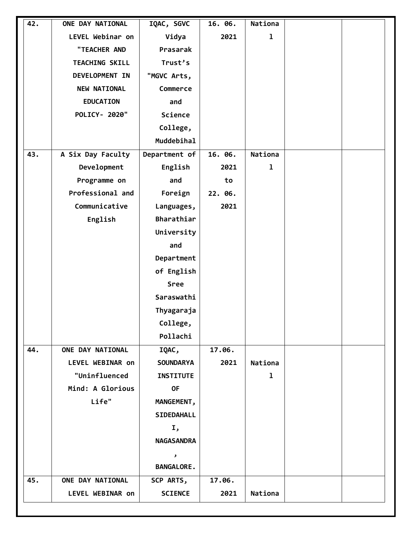|     | LEVEL Webinar on<br>"TEACHER AND<br><b>TEACHING SKILL</b><br>DEVELOPMENT IN | Vidya<br>Prasarak<br>Trust's | 2021    | $\mathbf{1}$ |  |
|-----|-----------------------------------------------------------------------------|------------------------------|---------|--------------|--|
|     |                                                                             |                              |         |              |  |
|     |                                                                             |                              |         |              |  |
|     |                                                                             |                              |         |              |  |
|     |                                                                             | "MGVC Arts,                  |         |              |  |
|     | <b>NEW NATIONAL</b>                                                         | Commerce                     |         |              |  |
|     | <b>EDUCATION</b>                                                            | and                          |         |              |  |
|     | POLICY- 2020"                                                               | Science                      |         |              |  |
|     |                                                                             | College,                     |         |              |  |
|     |                                                                             | Muddebihal                   |         |              |  |
| 43. | A Six Day Faculty                                                           | Department of                | 16. 06. | Nationa      |  |
|     | Development                                                                 | English                      | 2021    | $\mathbf 1$  |  |
|     | Programme on                                                                | and                          | to      |              |  |
|     | Professional and                                                            | Foreign                      | 22. 06. |              |  |
|     | Communicative                                                               | Languages,                   | 2021    |              |  |
|     | English                                                                     | Bharathiar                   |         |              |  |
|     |                                                                             | University                   |         |              |  |
|     |                                                                             | and                          |         |              |  |
|     |                                                                             | Department                   |         |              |  |
|     |                                                                             | of English                   |         |              |  |
|     |                                                                             | Sree                         |         |              |  |
|     |                                                                             | Saraswathi                   |         |              |  |
|     |                                                                             | Thyagaraja                   |         |              |  |
|     |                                                                             | College,                     |         |              |  |
|     |                                                                             | Pollachi                     |         |              |  |
| 44. | ONE DAY NATIONAL                                                            | IQAC,                        | 17.06.  |              |  |
|     | LEVEL WEBINAR on                                                            | <b>SOUNDARYA</b>             | 2021    | Nationa      |  |
|     | "Uninfluenced                                                               | <b>INSTITUTE</b>             |         | $\mathbf{I}$ |  |
|     | Mind: A Glorious                                                            | <b>OF</b>                    |         |              |  |
|     | Life"                                                                       | MANGEMENT,                   |         |              |  |
|     |                                                                             | SIDEDAHALL                   |         |              |  |
|     |                                                                             | Ι,                           |         |              |  |
|     |                                                                             | <b>NAGASANDRA</b>            |         |              |  |
|     |                                                                             | ر                            |         |              |  |
|     |                                                                             | <b>BANGALORE.</b>            |         |              |  |
| 45. | ONE DAY NATIONAL                                                            | SCP ARTS,                    | 17.06.  |              |  |
|     | LEVEL WEBINAR on                                                            | <b>SCIENCE</b>               | 2021    | Nationa      |  |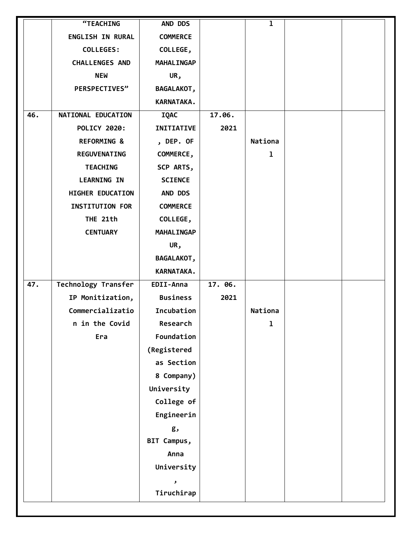|     | "TEACHING                  | AND DDS            |         | $\mathbf{1}$ |  |
|-----|----------------------------|--------------------|---------|--------------|--|
|     | <b>ENGLISH IN RURAL</b>    | <b>COMMERCE</b>    |         |              |  |
|     | <b>COLLEGES:</b>           | COLLEGE,           |         |              |  |
|     | <b>CHALLENGES AND</b>      | <b>MAHALINGAP</b>  |         |              |  |
|     | <b>NEW</b>                 | UR,                |         |              |  |
|     | PERSPECTIVES"              | <b>BAGALAKOT,</b>  |         |              |  |
|     |                            | KARNATAKA.         |         |              |  |
| 46. | NATIONAL EDUCATION         | <b>IQAC</b>        | 17.06.  |              |  |
|     | <b>POLICY 2020:</b>        | <b>INITIATIVE</b>  | 2021    |              |  |
|     | <b>REFORMING &amp;</b>     | , DEP. OF          |         | Nationa      |  |
|     | <b>REGUVENATING</b>        | COMMERCE,          |         | $\mathbf 1$  |  |
|     | <b>TEACHING</b>            | SCP ARTS,          |         |              |  |
|     | <b>LEARNING IN</b>         | <b>SCIENCE</b>     |         |              |  |
|     | HIGHER EDUCATION           | AND DDS            |         |              |  |
|     | <b>INSTITUTION FOR</b>     | <b>COMMERCE</b>    |         |              |  |
|     | THE 21th                   | COLLEGE,           |         |              |  |
|     | <b>CENTUARY</b>            | <b>MAHALINGAP</b>  |         |              |  |
|     |                            | UR,                |         |              |  |
|     |                            | <b>BAGALAKOT,</b>  |         |              |  |
|     |                            | KARNATAKA.         |         |              |  |
| 47. | <b>Technology Transfer</b> | EDII-Anna          | 17. 06. |              |  |
|     | IP Monitization,           | <b>Business</b>    | 2021    |              |  |
|     | Commercializatio           | Incubation         |         | Nationa      |  |
|     | n in the Covid             | Research           |         | $\mathbf 1$  |  |
|     | Era                        | Foundation         |         |              |  |
|     |                            | (Registered        |         |              |  |
|     |                            | as Section         |         |              |  |
|     |                            | 8 Company)         |         |              |  |
|     |                            | University         |         |              |  |
|     |                            | College of         |         |              |  |
|     |                            | Engineerin         |         |              |  |
|     |                            | g,                 |         |              |  |
|     |                            | BIT Campus,        |         |              |  |
|     |                            | Anna               |         |              |  |
|     |                            | University         |         |              |  |
|     |                            | $\pmb{\mathsf{S}}$ |         |              |  |
|     |                            | Tiruchirap         |         |              |  |
|     |                            |                    |         |              |  |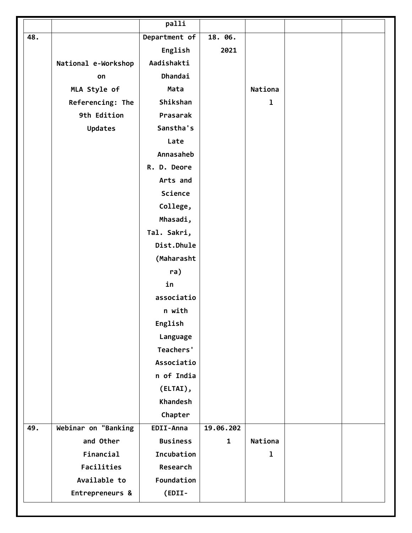|     |                     | palli           |              |         |  |
|-----|---------------------|-----------------|--------------|---------|--|
| 48. |                     | Department of   | 18. 06.      |         |  |
|     |                     | English         | 2021         |         |  |
|     | National e-Workshop | Aadishakti      |              |         |  |
|     | on                  | Dhandai         |              |         |  |
|     | MLA Style of        | Mata            |              | Nationa |  |
|     | Referencing: The    | Shikshan        |              | ı       |  |
|     | 9th Edition         | Prasarak        |              |         |  |
|     | <b>Updates</b>      | Sanstha's       |              |         |  |
|     |                     | Late            |              |         |  |
|     |                     | Annasaheb       |              |         |  |
|     |                     | R. D. Deore     |              |         |  |
|     |                     | Arts and        |              |         |  |
|     |                     | Science         |              |         |  |
|     |                     | College,        |              |         |  |
|     |                     | Mhasadi,        |              |         |  |
|     |                     | Tal. Sakri,     |              |         |  |
|     |                     | Dist.Dhule      |              |         |  |
|     |                     | (Maharasht      |              |         |  |
|     |                     | ra)             |              |         |  |
|     |                     | in              |              |         |  |
|     |                     | associatio      |              |         |  |
|     |                     | n with          |              |         |  |
|     |                     | English         |              |         |  |
|     |                     | Language        |              |         |  |
|     |                     | Teachers'       |              |         |  |
|     |                     | Associatio      |              |         |  |
|     |                     | n of India      |              |         |  |
|     |                     | (ELTAI),        |              |         |  |
|     |                     | <b>Khandesh</b> |              |         |  |
|     |                     | Chapter         |              |         |  |
| 49. | Webinar on "Banking | EDII-Anna       | 19.06.202    |         |  |
|     | and Other           | <b>Business</b> | $\mathbf{1}$ | Nationa |  |
|     | Financial           | Incubation      |              | 1       |  |
|     | Facilities          | Research        |              |         |  |
|     | Available to        | Foundation      |              |         |  |
|     | Entrepreneurs &     | (EDII-          |              |         |  |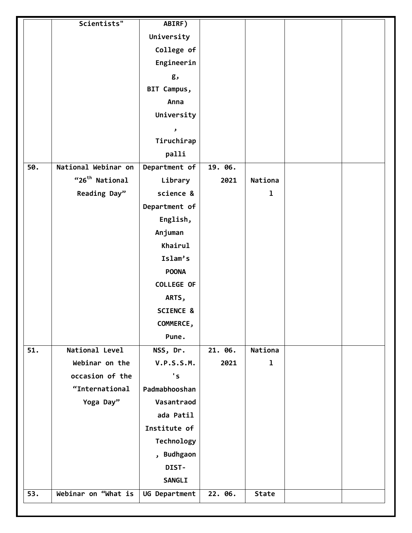|     | Scientists"                | ABIRF)                |         |              |  |
|-----|----------------------------|-----------------------|---------|--------------|--|
|     |                            | University            |         |              |  |
|     |                            | College of            |         |              |  |
|     |                            | Engineerin            |         |              |  |
|     |                            | g,                    |         |              |  |
|     |                            | BIT Campus,           |         |              |  |
|     |                            | Anna                  |         |              |  |
|     |                            | University            |         |              |  |
|     |                            | $\blacktriangleright$ |         |              |  |
|     |                            | Tiruchirap            |         |              |  |
|     |                            | palli                 |         |              |  |
| 50. | National Webinar on        | Department of         | 19. 06. |              |  |
|     | "26 <sup>th</sup> National | Library               | 2021    | Nationa      |  |
|     | Reading Day"               | science &             |         | $\mathbf 1$  |  |
|     |                            | Department of         |         |              |  |
|     |                            | English,              |         |              |  |
|     |                            | Anjuman               |         |              |  |
|     |                            | Khairul               |         |              |  |
|     |                            | Islam's               |         |              |  |
|     |                            | <b>POONA</b>          |         |              |  |
|     |                            | <b>COLLEGE OF</b>     |         |              |  |
|     |                            | ARTS,                 |         |              |  |
|     |                            | <b>SCIENCE &amp;</b>  |         |              |  |
|     |                            | COMMERCE,             |         |              |  |
|     |                            | Pune.                 |         |              |  |
| 51. | National Level             | NSS, Dr.              | 21. 06. | Nationa      |  |
|     | Webinar on the             | <b>V.P.S.S.M.</b>     | 2021    | $\mathbf{1}$ |  |
|     | occasion of the            | $\mathbf{S}$          |         |              |  |
|     | "International             | Padmabhooshan         |         |              |  |
|     | Yoga Day"                  | Vasantraod            |         |              |  |
|     |                            | ada Patil             |         |              |  |
|     |                            | Institute of          |         |              |  |
|     |                            | Technology            |         |              |  |
|     |                            | , Budhgaon            |         |              |  |
|     |                            | DIST-                 |         |              |  |
|     |                            | <b>SANGLI</b>         |         |              |  |
| 53. | Webinar on "What is        | UG Department         | 22. 06. | <b>State</b> |  |
|     |                            |                       |         |              |  |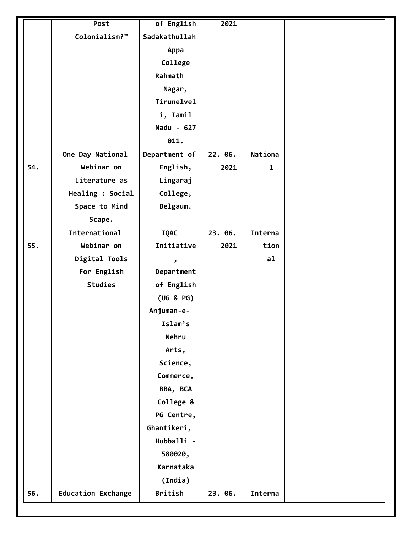|     | Post                      | of English     | 2021    |                |  |
|-----|---------------------------|----------------|---------|----------------|--|
|     | Colonialism?"             | Sadakathullah  |         |                |  |
|     |                           | Appa           |         |                |  |
|     |                           | College        |         |                |  |
|     |                           | Rahmath        |         |                |  |
|     |                           | Nagar,         |         |                |  |
|     |                           | Tirunelvel     |         |                |  |
|     |                           | i, Tamil       |         |                |  |
|     |                           | Nadu - 627     |         |                |  |
|     |                           | 011.           |         |                |  |
|     | One Day National          | Department of  | 22. 06. | <b>Nationa</b> |  |
| 54. | Webinar on                | English,       | 2021    | 1              |  |
|     | Literature as             | Lingaraj       |         |                |  |
|     | Healing : Social          | College,       |         |                |  |
|     | Space to Mind             | Belgaum.       |         |                |  |
|     | Scape.                    |                |         |                |  |
|     | International             | <b>IQAC</b>    | 23.06.  | Interna        |  |
| 55. | Webinar on                | Initiative     | 2021    | tion           |  |
|     | Digital Tools             | ر              |         | a1             |  |
|     | For English               | Department     |         |                |  |
|     | <b>Studies</b>            | of English     |         |                |  |
|     |                           | (UG & PG)      |         |                |  |
|     |                           | Anjuman-e-     |         |                |  |
|     |                           | Islam's        |         |                |  |
|     |                           | Nehru          |         |                |  |
|     |                           | Arts,          |         |                |  |
|     |                           | Science,       |         |                |  |
|     |                           | Commerce,      |         |                |  |
|     |                           | BBA, BCA       |         |                |  |
|     |                           | College &      |         |                |  |
|     |                           | PG Centre,     |         |                |  |
|     |                           | Ghantikeri,    |         |                |  |
|     |                           | Hubballi -     |         |                |  |
|     |                           | 580020,        |         |                |  |
|     |                           | Karnataka      |         |                |  |
|     |                           | (India)        |         |                |  |
| 56. | <b>Education Exchange</b> | <b>British</b> | 23. 06. | Interna        |  |
|     |                           |                |         |                |  |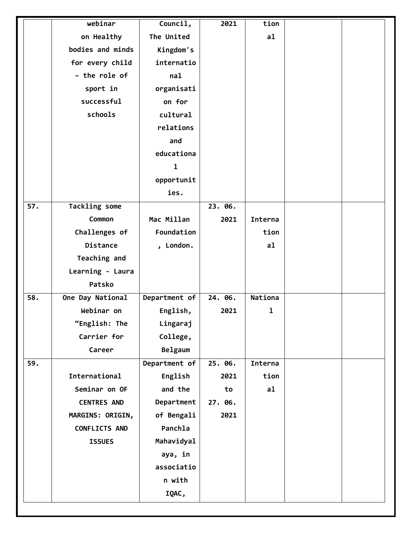|     | webinar              | Council,      | 2021    | tion    |  |
|-----|----------------------|---------------|---------|---------|--|
|     | on Healthy           | The United    |         | a1      |  |
|     | bodies and minds     | Kingdom's     |         |         |  |
|     | for every child      | internatio    |         |         |  |
|     | - the role of        | nal           |         |         |  |
|     | sport in             | organisati    |         |         |  |
|     | successful           | on for        |         |         |  |
|     | schools              | cultural      |         |         |  |
|     |                      | relations     |         |         |  |
|     |                      | and           |         |         |  |
|     |                      | educationa    |         |         |  |
|     |                      | $\mathbf{I}$  |         |         |  |
|     |                      | opportunit    |         |         |  |
|     |                      | ies.          |         |         |  |
| 57. | <b>Tackling some</b> |               | 23. 06. |         |  |
|     | Common               | Mac Millan    | 2021    | Interna |  |
|     | Challenges of        | Foundation    |         | tion    |  |
|     | Distance             | , London.     |         | a1      |  |
|     | Teaching and         |               |         |         |  |
|     | Learning - Laura     |               |         |         |  |
|     | Patsko               |               |         |         |  |
| 58. | One Day National     | Department of | 24. 06. | Nationa |  |
|     | Webinar on           | English,      | 2021    | ı       |  |
|     | "English: The        | Lingaraj      |         |         |  |
|     | Carrier for          | College,      |         |         |  |
|     | Career               | Belgaum       |         |         |  |
| 59. |                      | Department of | 25. 06. | Interna |  |
|     | International        | English       | 2021    | tion    |  |
|     | Seminar on OF        | and the       | to      | a1      |  |
|     | <b>CENTRES AND</b>   | Department    | 27. 06. |         |  |
|     | MARGINS: ORIGIN,     | of Bengali    | 2021    |         |  |
|     | <b>CONFLICTS AND</b> | Panchla       |         |         |  |
|     | <b>ISSUES</b>        | Mahavidyal    |         |         |  |
|     |                      | aya, in       |         |         |  |
|     |                      | associatio    |         |         |  |
|     |                      | n with        |         |         |  |
|     |                      | IQAC,         |         |         |  |
|     |                      |               |         |         |  |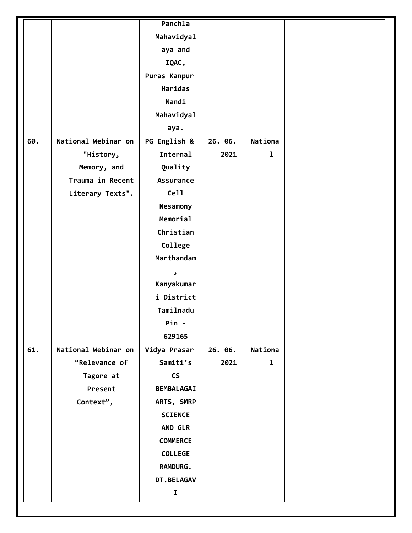| Mahavidyal<br>aya and<br>IQAC,<br>Puras Kanpur<br>Haridas<br>Nandi<br>Mahavidyal<br>aya.<br>National Webinar on<br>60.<br>PG English &<br>Nationa<br>26. 06.<br>Internal<br>$\mathbf 1$<br>"History,<br>2021<br>Quality<br>Memory, and<br>Trauma in Recent<br><b>Assurance</b><br>Cell<br>Literary Texts".<br>Nesamony<br>Memorial<br>Christian<br>College<br>Marthandam<br>$\pmb{\mathcal{S}}$<br>Kanyakumar<br>i District<br>Tamilnadu<br>Pin -<br>629165<br>National Webinar on<br>61.<br>Vidya Prasar<br>Nationa<br>26. 06.<br>"Relevance of<br>Samiti's<br>2021<br>$\mathbf 1$<br>$\mathsf{CS}\xspace$<br>Tagore at<br>Present<br><b>BEMBALAGAI</b><br>Context",<br>ARTS, SMRP<br><b>SCIENCE</b><br><b>AND GLR</b><br><b>COMMERCE</b><br><b>COLLEGE</b><br><b>RAMDURG.</b><br><b>DT.BELAGAV</b><br>$\mathbf I$ |  | Panchla |  |  |
|---------------------------------------------------------------------------------------------------------------------------------------------------------------------------------------------------------------------------------------------------------------------------------------------------------------------------------------------------------------------------------------------------------------------------------------------------------------------------------------------------------------------------------------------------------------------------------------------------------------------------------------------------------------------------------------------------------------------------------------------------------------------------------------------------------------------|--|---------|--|--|
|                                                                                                                                                                                                                                                                                                                                                                                                                                                                                                                                                                                                                                                                                                                                                                                                                     |  |         |  |  |
|                                                                                                                                                                                                                                                                                                                                                                                                                                                                                                                                                                                                                                                                                                                                                                                                                     |  |         |  |  |
|                                                                                                                                                                                                                                                                                                                                                                                                                                                                                                                                                                                                                                                                                                                                                                                                                     |  |         |  |  |
|                                                                                                                                                                                                                                                                                                                                                                                                                                                                                                                                                                                                                                                                                                                                                                                                                     |  |         |  |  |
|                                                                                                                                                                                                                                                                                                                                                                                                                                                                                                                                                                                                                                                                                                                                                                                                                     |  |         |  |  |
|                                                                                                                                                                                                                                                                                                                                                                                                                                                                                                                                                                                                                                                                                                                                                                                                                     |  |         |  |  |
|                                                                                                                                                                                                                                                                                                                                                                                                                                                                                                                                                                                                                                                                                                                                                                                                                     |  |         |  |  |
|                                                                                                                                                                                                                                                                                                                                                                                                                                                                                                                                                                                                                                                                                                                                                                                                                     |  |         |  |  |
|                                                                                                                                                                                                                                                                                                                                                                                                                                                                                                                                                                                                                                                                                                                                                                                                                     |  |         |  |  |
|                                                                                                                                                                                                                                                                                                                                                                                                                                                                                                                                                                                                                                                                                                                                                                                                                     |  |         |  |  |
|                                                                                                                                                                                                                                                                                                                                                                                                                                                                                                                                                                                                                                                                                                                                                                                                                     |  |         |  |  |
|                                                                                                                                                                                                                                                                                                                                                                                                                                                                                                                                                                                                                                                                                                                                                                                                                     |  |         |  |  |
|                                                                                                                                                                                                                                                                                                                                                                                                                                                                                                                                                                                                                                                                                                                                                                                                                     |  |         |  |  |
|                                                                                                                                                                                                                                                                                                                                                                                                                                                                                                                                                                                                                                                                                                                                                                                                                     |  |         |  |  |
|                                                                                                                                                                                                                                                                                                                                                                                                                                                                                                                                                                                                                                                                                                                                                                                                                     |  |         |  |  |
|                                                                                                                                                                                                                                                                                                                                                                                                                                                                                                                                                                                                                                                                                                                                                                                                                     |  |         |  |  |
|                                                                                                                                                                                                                                                                                                                                                                                                                                                                                                                                                                                                                                                                                                                                                                                                                     |  |         |  |  |
|                                                                                                                                                                                                                                                                                                                                                                                                                                                                                                                                                                                                                                                                                                                                                                                                                     |  |         |  |  |
|                                                                                                                                                                                                                                                                                                                                                                                                                                                                                                                                                                                                                                                                                                                                                                                                                     |  |         |  |  |
|                                                                                                                                                                                                                                                                                                                                                                                                                                                                                                                                                                                                                                                                                                                                                                                                                     |  |         |  |  |
|                                                                                                                                                                                                                                                                                                                                                                                                                                                                                                                                                                                                                                                                                                                                                                                                                     |  |         |  |  |
|                                                                                                                                                                                                                                                                                                                                                                                                                                                                                                                                                                                                                                                                                                                                                                                                                     |  |         |  |  |
|                                                                                                                                                                                                                                                                                                                                                                                                                                                                                                                                                                                                                                                                                                                                                                                                                     |  |         |  |  |
|                                                                                                                                                                                                                                                                                                                                                                                                                                                                                                                                                                                                                                                                                                                                                                                                                     |  |         |  |  |
|                                                                                                                                                                                                                                                                                                                                                                                                                                                                                                                                                                                                                                                                                                                                                                                                                     |  |         |  |  |
|                                                                                                                                                                                                                                                                                                                                                                                                                                                                                                                                                                                                                                                                                                                                                                                                                     |  |         |  |  |
|                                                                                                                                                                                                                                                                                                                                                                                                                                                                                                                                                                                                                                                                                                                                                                                                                     |  |         |  |  |
|                                                                                                                                                                                                                                                                                                                                                                                                                                                                                                                                                                                                                                                                                                                                                                                                                     |  |         |  |  |
|                                                                                                                                                                                                                                                                                                                                                                                                                                                                                                                                                                                                                                                                                                                                                                                                                     |  |         |  |  |
|                                                                                                                                                                                                                                                                                                                                                                                                                                                                                                                                                                                                                                                                                                                                                                                                                     |  |         |  |  |
|                                                                                                                                                                                                                                                                                                                                                                                                                                                                                                                                                                                                                                                                                                                                                                                                                     |  |         |  |  |
|                                                                                                                                                                                                                                                                                                                                                                                                                                                                                                                                                                                                                                                                                                                                                                                                                     |  |         |  |  |
|                                                                                                                                                                                                                                                                                                                                                                                                                                                                                                                                                                                                                                                                                                                                                                                                                     |  |         |  |  |
|                                                                                                                                                                                                                                                                                                                                                                                                                                                                                                                                                                                                                                                                                                                                                                                                                     |  |         |  |  |
|                                                                                                                                                                                                                                                                                                                                                                                                                                                                                                                                                                                                                                                                                                                                                                                                                     |  |         |  |  |
|                                                                                                                                                                                                                                                                                                                                                                                                                                                                                                                                                                                                                                                                                                                                                                                                                     |  |         |  |  |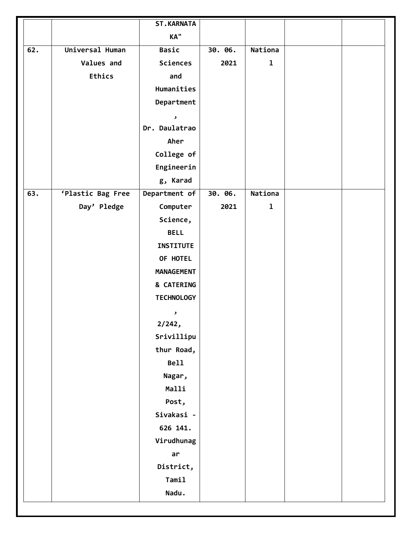|                   |                   | <b>ST.KARNATA</b>     |         |             |  |
|-------------------|-------------------|-----------------------|---------|-------------|--|
|                   |                   | KA"                   |         |             |  |
| $\overline{62}$ . | Universal Human   | <b>Basic</b>          | 30. 06. | Nationa     |  |
|                   | Values and        | Sciences              | 2021    | $\mathbf 1$ |  |
|                   | <b>Ethics</b>     | and                   |         |             |  |
|                   |                   | Humanities            |         |             |  |
|                   |                   | Department            |         |             |  |
|                   |                   | $\mathbf{J}$          |         |             |  |
|                   |                   | Dr. Daulatrao         |         |             |  |
|                   |                   | Aher                  |         |             |  |
|                   |                   | College of            |         |             |  |
|                   |                   | Engineerin            |         |             |  |
|                   |                   | g, Karad              |         |             |  |
| 63.               | 'Plastic Bag Free | Department of         | 30. 06. | Nationa     |  |
|                   | Day' Pledge       | Computer              | 2021    | $\mathbf 1$ |  |
|                   |                   | Science,              |         |             |  |
|                   |                   | <b>BELL</b>           |         |             |  |
|                   |                   | <b>INSTITUTE</b>      |         |             |  |
|                   |                   | OF HOTEL              |         |             |  |
|                   |                   | <b>MANAGEMENT</b>     |         |             |  |
|                   |                   | & CATERING            |         |             |  |
|                   |                   | <b>TECHNOLOGY</b>     |         |             |  |
|                   |                   | $\blacktriangleright$ |         |             |  |
|                   |                   | 2/242,                |         |             |  |
|                   |                   | Srivillipu            |         |             |  |
|                   |                   | thur Road,            |         |             |  |
|                   |                   | <b>Bell</b>           |         |             |  |
|                   |                   | Nagar,                |         |             |  |
|                   |                   | Malli                 |         |             |  |
|                   |                   | Post,                 |         |             |  |
|                   |                   | Sivakasi -            |         |             |  |
|                   |                   | 626 141.              |         |             |  |
|                   |                   | Virudhunag            |         |             |  |
|                   |                   | ar                    |         |             |  |
|                   |                   | District,             |         |             |  |
|                   |                   | Tamil                 |         |             |  |
|                   |                   | Nadu.                 |         |             |  |
|                   |                   |                       |         |             |  |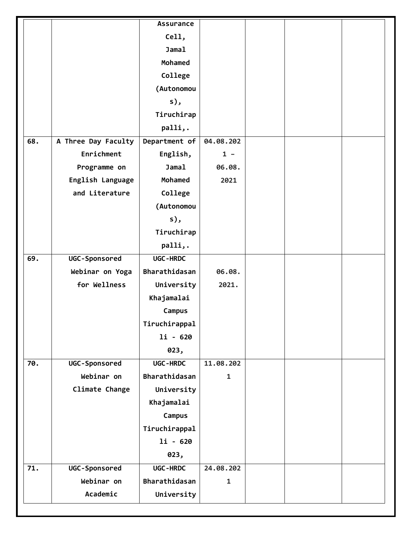|     |                     | <b>Assurance</b> |              |  |  |
|-----|---------------------|------------------|--------------|--|--|
|     |                     | Cell,            |              |  |  |
|     |                     | <b>Jamal</b>     |              |  |  |
|     |                     | Mohamed          |              |  |  |
|     |                     | College          |              |  |  |
|     |                     | (Autonomou       |              |  |  |
|     |                     | $s)$ ,           |              |  |  |
|     |                     | Tiruchirap       |              |  |  |
|     |                     | palli,.          |              |  |  |
| 68. | A Three Day Faculty | Department of    | 04.08.202    |  |  |
|     | Enrichment          | English,         | $1 -$        |  |  |
|     | Programme on        | <b>Jamal</b>     | 06.08.       |  |  |
|     | English Language    | Mohamed          | 2021         |  |  |
|     | and Literature      | College          |              |  |  |
|     |                     | (Autonomou       |              |  |  |
|     |                     | s),              |              |  |  |
|     |                     | Tiruchirap       |              |  |  |
|     |                     | palli,.          |              |  |  |
| 69. | UGC-Sponsored       | UGC-HRDC         |              |  |  |
|     | Webinar on Yoga     | Bharathidasan    | 06.08.       |  |  |
|     | for Wellness        | University       | 2021.        |  |  |
|     |                     | Khajamalai       |              |  |  |
|     |                     | Campus           |              |  |  |
|     |                     | Tiruchirappal    |              |  |  |
|     |                     | $1i - 620$       |              |  |  |
|     |                     | 023,             |              |  |  |
| 70. | UGC-Sponsored       | UGC-HRDC         | 11.08.202    |  |  |
|     | Webinar on          | Bharathidasan    | $\mathbf{1}$ |  |  |
|     | Climate Change      | University       |              |  |  |
|     |                     | Khajamalai       |              |  |  |
|     |                     | Campus           |              |  |  |
|     |                     | Tiruchirappal    |              |  |  |
|     |                     | $1i - 620$       |              |  |  |
|     |                     | 023,             |              |  |  |
| 71. | UGC-Sponsored       | UGC-HRDC         | 24.08.202    |  |  |
|     | Webinar on          | Bharathidasan    | $\mathbf{1}$ |  |  |
|     | Academic            | University       |              |  |  |
|     |                     |                  |              |  |  |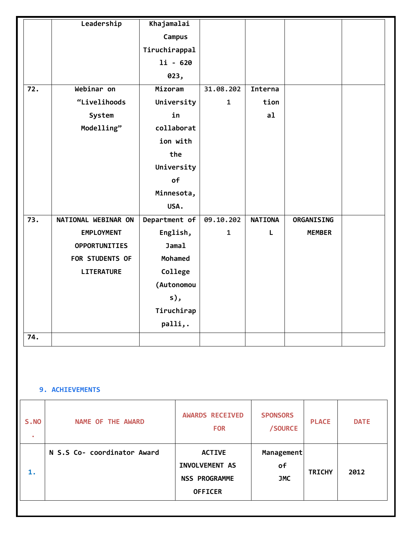|                  | Leadership           | Khajamalai    |              |                |               |  |
|------------------|----------------------|---------------|--------------|----------------|---------------|--|
|                  |                      | Campus        |              |                |               |  |
|                  |                      | Tiruchirappal |              |                |               |  |
|                  |                      | $1i - 620$    |              |                |               |  |
|                  |                      | 023,          |              |                |               |  |
| 72.              | Webinar on           | Mizoram       | 31.08.202    | Interna        |               |  |
|                  | "Livelihoods         | University    | $\mathbf{1}$ | tion           |               |  |
|                  | System               | in            |              | a1             |               |  |
|                  | Modelling"           | collaborat    |              |                |               |  |
|                  |                      | ion with      |              |                |               |  |
|                  |                      | the           |              |                |               |  |
|                  |                      | University    |              |                |               |  |
|                  |                      | of            |              |                |               |  |
|                  |                      | Minnesota,    |              |                |               |  |
|                  |                      | USA.          |              |                |               |  |
| $\overline{73.}$ | NATIONAL WEBINAR ON  | Department of | 09.10.202    | <b>NATIONA</b> | ORGANISING    |  |
|                  | <b>EMPLOYMENT</b>    | English,      | $\mathbf{1}$ | L              | <b>MEMBER</b> |  |
|                  | <b>OPPORTUNITIES</b> | Jama1         |              |                |               |  |
|                  | FOR STUDENTS OF      | Mohamed       |              |                |               |  |
|                  | <b>LITERATURE</b>    | College       |              |                |               |  |
|                  |                      | (Autonomou    |              |                |               |  |
|                  |                      | s),           |              |                |               |  |
|                  |                      | Tiruchirap    |              |                |               |  |
|                  |                      | palli,.       |              |                |               |  |
| 74.              |                      |               |              |                |               |  |

#### **9. ACHIEVEMENTS**

| <b>S.NO</b><br>$\bullet$ | <b>NAME OF THE AWARD</b>    | <b>AWARDS RECEIVED</b><br><b>FOR</b>                                      | <b>SPONSORS</b><br>/SOURCE     | <b>PLACE</b>  | <b>DATE</b> |
|--------------------------|-----------------------------|---------------------------------------------------------------------------|--------------------------------|---------------|-------------|
| 1.                       | N S.S Co- coordinator Award | <b>ACTIVE</b><br>INVOLVEMENT AS<br><b>NSS PROGRAMME</b><br><b>OFFICER</b> | Management<br>of<br><b>JMC</b> | <b>TRICHY</b> | 2012        |